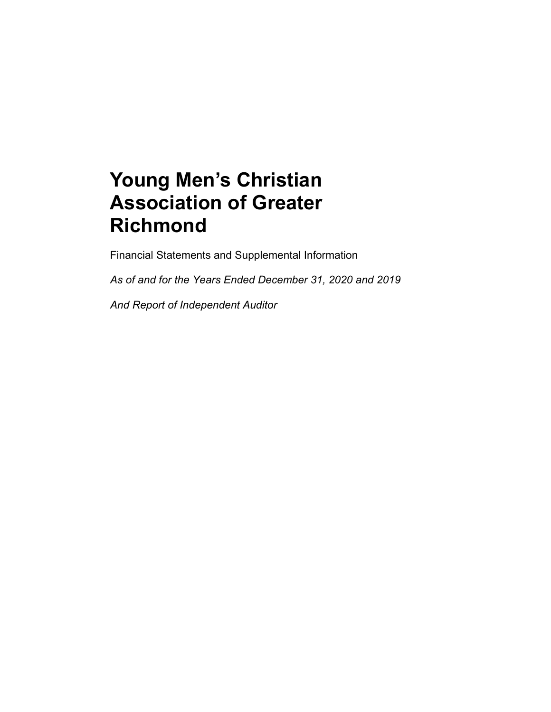Financial Statements and Supplemental Information

*As of and for the Years Ended December 31, 2020 and 2019* 

*And Report of Independent Auditor*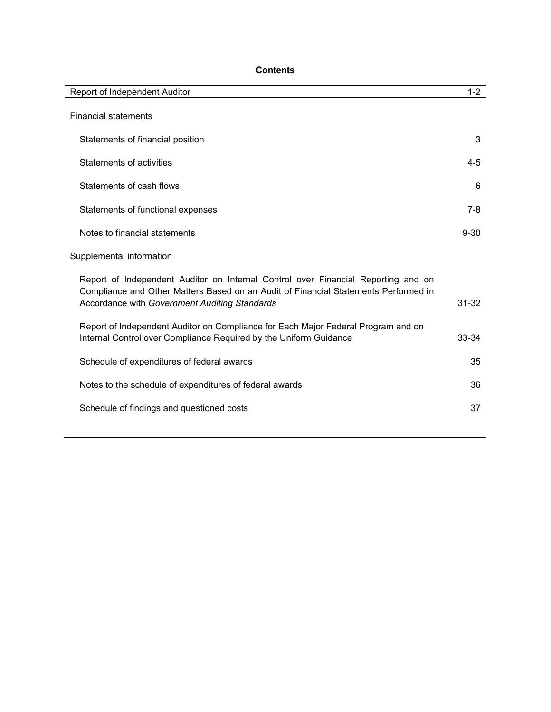## **Contents**

| Report of Independent Auditor                                                                                                                                                                                             | $1 - 2$   |
|---------------------------------------------------------------------------------------------------------------------------------------------------------------------------------------------------------------------------|-----------|
| <b>Financial statements</b>                                                                                                                                                                                               |           |
| Statements of financial position                                                                                                                                                                                          | 3         |
| <b>Statements of activities</b>                                                                                                                                                                                           | $4 - 5$   |
| Statements of cash flows                                                                                                                                                                                                  | 6         |
| Statements of functional expenses                                                                                                                                                                                         | $7 - 8$   |
| Notes to financial statements                                                                                                                                                                                             | $9 - 30$  |
| Supplemental information                                                                                                                                                                                                  |           |
| Report of Independent Auditor on Internal Control over Financial Reporting and on<br>Compliance and Other Matters Based on an Audit of Financial Statements Performed in<br>Accordance with Government Auditing Standards | $31 - 32$ |
| Report of Independent Auditor on Compliance for Each Major Federal Program and on<br>Internal Control over Compliance Required by the Uniform Guidance                                                                    | 33-34     |
| Schedule of expenditures of federal awards                                                                                                                                                                                | 35        |
| Notes to the schedule of expenditures of federal awards                                                                                                                                                                   | 36        |
| Schedule of findings and questioned costs                                                                                                                                                                                 | 37        |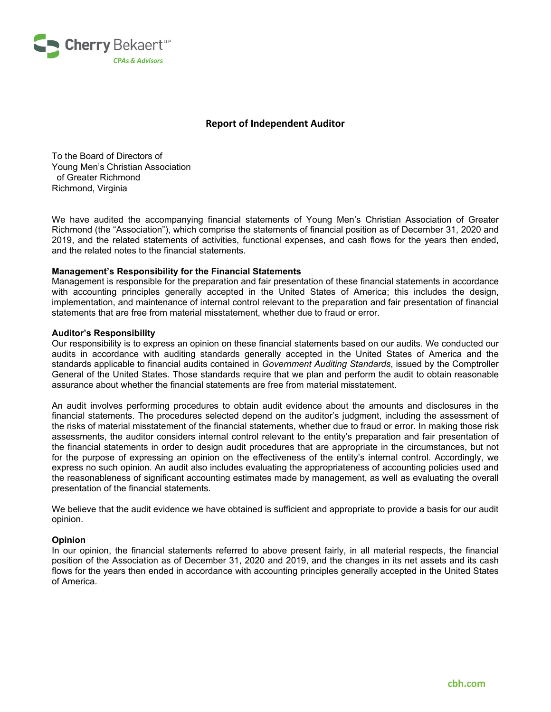

#### **Report of Independent Auditor**

To the Board of Directors of Young Men's Christian Association of Greater Richmond Richmond, Virginia

We have audited the accompanying financial statements of Young Men's Christian Association of Greater Richmond (the "Association"), which comprise the statements of financial position as of December 31, 2020 and 2019, and the related statements of activities, functional expenses, and cash flows for the years then ended, and the related notes to the financial statements.

#### **Management's Responsibility for the Financial Statements**

Management is responsible for the preparation and fair presentation of these financial statements in accordance with accounting principles generally accepted in the United States of America; this includes the design, implementation, and maintenance of internal control relevant to the preparation and fair presentation of financial statements that are free from material misstatement, whether due to fraud or error.

#### **Auditor's Responsibility**

Our responsibility is to express an opinion on these financial statements based on our audits. We conducted our audits in accordance with auditing standards generally accepted in the United States of America and the standards applicable to financial audits contained in *Government Auditing Standards*, issued by the Comptroller General of the United States. Those standards require that we plan and perform the audit to obtain reasonable assurance about whether the financial statements are free from material misstatement.

An audit involves performing procedures to obtain audit evidence about the amounts and disclosures in the financial statements. The procedures selected depend on the auditor's judgment, including the assessment of the risks of material misstatement of the financial statements, whether due to fraud or error. In making those risk assessments, the auditor considers internal control relevant to the entity's preparation and fair presentation of the financial statements in order to design audit procedures that are appropriate in the circumstances, but not for the purpose of expressing an opinion on the effectiveness of the entity's internal control. Accordingly, we express no such opinion. An audit also includes evaluating the appropriateness of accounting policies used and the reasonableness of significant accounting estimates made by management, as well as evaluating the overall presentation of the financial statements.

We believe that the audit evidence we have obtained is sufficient and appropriate to provide a basis for our audit opinion.

#### **Opinion**

In our opinion, the financial statements referred to above present fairly, in all material respects, the financial position of the Association as of December 31, 2020 and 2019, and the changes in its net assets and its cash flows for the years then ended in accordance with accounting principles generally accepted in the United States of America.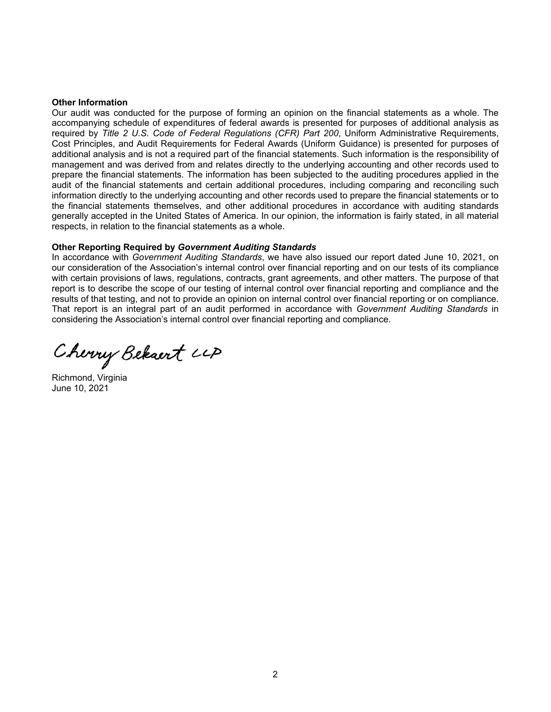#### **Other Information**

Our audit was conducted for the purpose of forming an opinion on the financial statements as a whole. The accompanying schedule of expenditures of federal awards is presented for purposes of additional analysis as required by *Title 2 U.S. Code of Federal Regulations (CFR) Part 200*, Uniform Administrative Requirements, Cost Principles, and Audit Requirements for Federal Awards (Uniform Guidance) is presented for purposes of additional analysis and is not a required part of the financial statements. Such information is the responsibility of management and was derived from and relates directly to the underlying accounting and other records used to prepare the financial statements. The information has been subjected to the auditing procedures applied in the audit of the financial statements and certain additional procedures, including comparing and reconciling such information directly to the underlying accounting and other records used to prepare the financial statements or to the financial statements themselves, and other additional procedures in accordance with auditing standards generally accepted in the United States of America. In our opinion, the information is fairly stated, in all material respects, in relation to the financial statements as a whole.

#### **Other Reporting Required by** *Government Auditing Standards*

In accordance with *Government Auditing Standards*, we have also issued our report dated June 10, 2021, on our consideration of the Association's internal control over financial reporting and on our tests of its compliance with certain provisions of laws, regulations, contracts, grant agreements, and other matters. The purpose of that report is to describe the scope of our testing of internal control over financial reporting and compliance and the results of that testing, and not to provide an opinion on internal control over financial reporting or on compliance. That report is an integral part of an audit performed in accordance with *Government Auditing Standards* in considering the Association's internal control over financial reporting and compliance.

Cherry Bekaert LLP

Richmond, Virginia June 10, 2021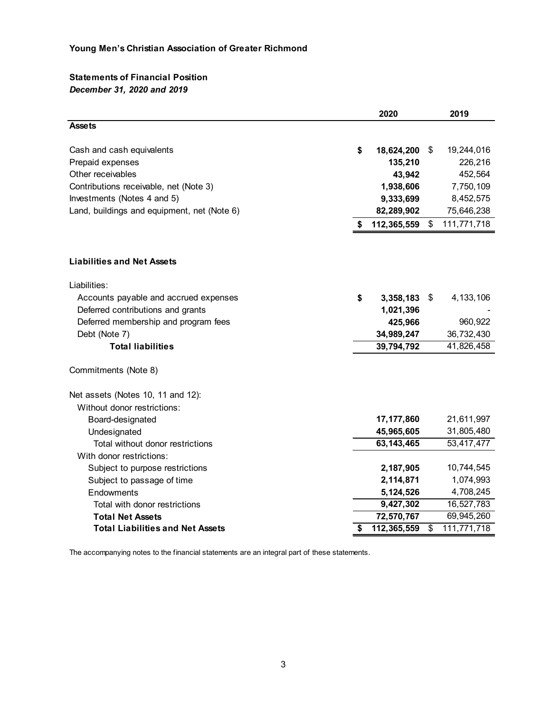## **Statements of Financial Position** *December 31, 2020 and 2019*

|                                             |    | 2020         | 2019              |
|---------------------------------------------|----|--------------|-------------------|
| <b>Assets</b>                               |    |              |                   |
| Cash and cash equivalents                   | \$ | 18,624,200   | \$<br>19,244,016  |
| Prepaid expenses                            |    | 135,210      | 226,216           |
| Other receivables                           |    | 43,942       | 452,564           |
| Contributions receivable, net (Note 3)      |    | 1,938,606    | 7,750,109         |
| Investments (Notes 4 and 5)                 |    | 9,333,699    | 8,452,575         |
| Land, buildings and equipment, net (Note 6) |    | 82,289,902   | 75,646,238        |
|                                             | S. | 112,365,559  | \$<br>111,771,718 |
| <b>Liabilities and Net Assets</b>           |    |              |                   |
| Liabilities:                                |    |              |                   |
| Accounts payable and accrued expenses       | \$ | 3,358,183    | \$<br>4, 133, 106 |
| Deferred contributions and grants           |    | 1,021,396    |                   |
| Deferred membership and program fees        |    | 425,966      | 960,922           |
| Debt (Note 7)                               |    | 34,989,247   | 36,732,430        |
| <b>Total liabilities</b>                    |    | 39,794,792   | 41,826,458        |
| Commitments (Note 8)                        |    |              |                   |
| Net assets (Notes 10, 11 and 12):           |    |              |                   |
| Without donor restrictions:                 |    |              |                   |
| Board-designated                            |    | 17,177,860   | 21,611,997        |
| Undesignated                                |    | 45,965,605   | 31,805,480        |
| Total without donor restrictions            |    | 63, 143, 465 | 53,417,477        |
| With donor restrictions:                    |    |              |                   |
| Subject to purpose restrictions             |    | 2,187,905    | 10,744,545        |
| Subject to passage of time                  |    | 2,114,871    | 1,074,993         |
| Endowments                                  |    | 5,124,526    | 4,708,245         |
| Total with donor restrictions               |    | 9,427,302    | 16,527,783        |
| <b>Total Net Assets</b>                     |    | 72,570,767   | 69,945,260        |
| <b>Total Liabilities and Net Assets</b>     | \$ | 112,365,559  | \$<br>111,771,718 |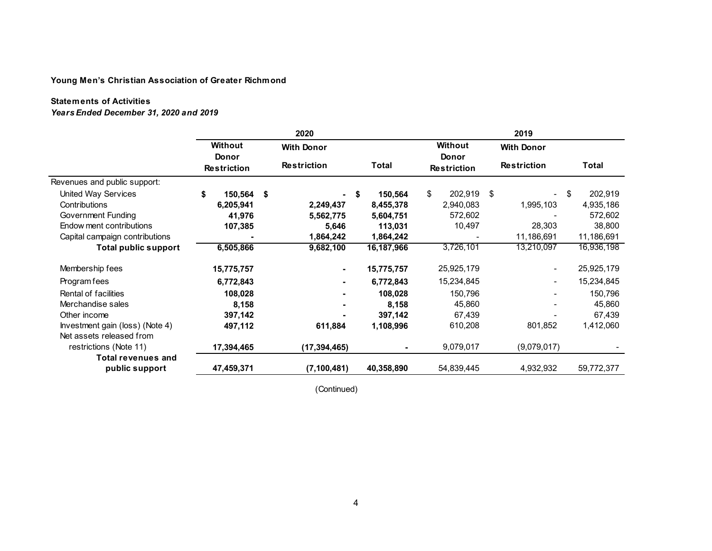#### **Statements of Activities**

*Years Ended December 31, 2020 and 2019*

| Without            |                                                                                                               | <b>With Donor</b>                                         |              |                                         |                    |            |                  | <b>With Donor</b>  |      |             |
|--------------------|---------------------------------------------------------------------------------------------------------------|-----------------------------------------------------------|--------------|-----------------------------------------|--------------------|------------|------------------|--------------------|------|-------------|
| <b>Restriction</b> |                                                                                                               | <b>Restriction</b>                                        | <b>Total</b> |                                         | <b>Restriction</b> |            |                  | <b>Restriction</b> |      | Total       |
|                    |                                                                                                               |                                                           |              |                                         |                    |            |                  |                    |      |             |
| \$                 |                                                                                                               |                                                           | - \$         | 150,564                                 | \$                 | 202,919    | \$               |                    | \$   | 202,919     |
|                    |                                                                                                               | 2,249,437                                                 |              | 8,455,378                               |                    | 2,940,083  |                  | 1,995,103          |      | 4,935,186   |
|                    |                                                                                                               | 5,562,775                                                 |              | 5,604,751                               |                    | 572,602    |                  |                    |      | 572,602     |
|                    |                                                                                                               | 5,646                                                     |              | 113,031                                 |                    | 10,497     |                  | 28,303             |      | 38,800      |
|                    |                                                                                                               | 1,864,242                                                 |              | 1,864,242                               |                    |            |                  | 11,186,691         |      | 11,186,691  |
|                    |                                                                                                               | 9,682,100                                                 |              | 16, 187, 966                            |                    | 3,726,101  |                  | 13,210,097         |      | 16,936,198  |
|                    |                                                                                                               | $\blacksquare$                                            |              | 15,775,757                              |                    | 25,925,179 |                  |                    |      | 25,925,179  |
|                    |                                                                                                               |                                                           |              | 6,772,843                               |                    | 15,234,845 |                  |                    |      | 15,234,845  |
|                    |                                                                                                               |                                                           |              |                                         |                    | 150,796    |                  |                    |      | 150,796     |
|                    |                                                                                                               |                                                           |              | 8,158                                   |                    | 45,860     |                  |                    |      | 45,860      |
|                    |                                                                                                               |                                                           |              | 397,142                                 |                    | 67,439     |                  |                    |      | 67,439      |
|                    |                                                                                                               | 611,884                                                   |              | 1,108,996                               |                    | 610,208    |                  | 801,852            |      | 1,412,060   |
|                    |                                                                                                               |                                                           |              |                                         |                    |            |                  |                    |      |             |
|                    |                                                                                                               |                                                           |              |                                         |                    | 9,079,017  |                  |                    |      |             |
|                    |                                                                                                               |                                                           |              |                                         |                    |            |                  |                    |      |             |
|                    |                                                                                                               |                                                           |              | 40,358,890                              |                    | 54,839,445 |                  | 4,932,932          |      | 59,772,377  |
|                    | <b>Donor</b><br>6,205,941<br>41,976<br>6,505,866<br>15,775,757<br>6,772,843<br>108,028<br>8,158<br>47,459,371 | 150,564 \$<br>107,385<br>397,142<br>497,112<br>17,394,465 | 2020         | $\sim$<br>(17, 394, 465)<br>(7,100,481) | 108,028            |            | Without<br>Donor |                    | 2019 | (9,079,017) |

(Continued)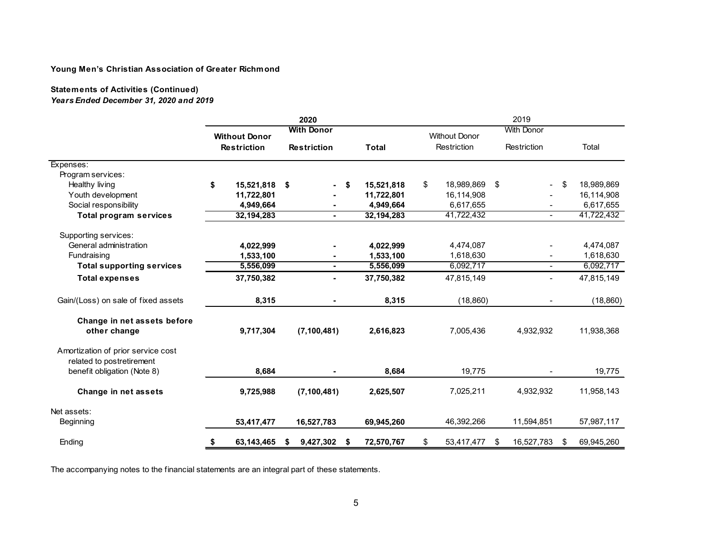# **Statements of Activities (Continued)**

*Years Ended December 31, 2020 and 2019*

|                                                                 |                      |            |                    | 2020              |              | 2019        |                      |                   |                |    |            |  |  |
|-----------------------------------------------------------------|----------------------|------------|--------------------|-------------------|--------------|-------------|----------------------|-------------------|----------------|----|------------|--|--|
|                                                                 | <b>Without Donor</b> |            |                    | <b>With Donor</b> |              |             | <b>Without Donor</b> | <b>With Donor</b> |                |    |            |  |  |
|                                                                 | <b>Restriction</b>   |            | <b>Restriction</b> |                   | <b>Total</b> | Restriction |                      |                   | Restriction    |    | Total      |  |  |
| Expenses:                                                       |                      |            |                    |                   |              |             |                      |                   |                |    |            |  |  |
| Program services:                                               |                      |            |                    |                   |              |             |                      |                   |                |    |            |  |  |
| Healthy living                                                  | \$                   | 15,521,818 | -\$                | Ŝ.                | 15,521,818   | \$          | 18,989,869           | - \$              | $\blacksquare$ | \$ | 18,989,869 |  |  |
| Youth development                                               |                      | 11,722,801 |                    |                   | 11,722,801   |             | 16,114,908           |                   |                |    | 16,114,908 |  |  |
| Social responsibility                                           |                      | 4,949,664  |                    |                   | 4,949,664    |             | 6,617,655            |                   | $\blacksquare$ |    | 6,617,655  |  |  |
| <b>Total program services</b>                                   |                      | 32,194,283 |                    | $\blacksquare$    | 32,194,283   |             | 41,722,432           |                   | $\sim$         |    | 41,722,432 |  |  |
| Supporting services:                                            |                      |            |                    |                   |              |             |                      |                   |                |    |            |  |  |
| General administration                                          |                      | 4,022,999  |                    |                   | 4,022,999    |             | 4,474,087            |                   |                |    | 4,474,087  |  |  |
| Fundraising                                                     |                      | 1,533,100  |                    |                   | 1,533,100    |             | 1,618,630            |                   |                |    | 1,618,630  |  |  |
| <b>Total supporting services</b>                                |                      | 5,556,099  |                    |                   | 5,556,099    |             | 6,092,717            |                   |                |    | 6,092,717  |  |  |
| <b>Total expenses</b>                                           |                      | 37,750,382 |                    |                   | 37,750,382   |             | 47,815,149           |                   |                |    | 47,815,149 |  |  |
| Gain/(Loss) on sale of fixed assets                             |                      | 8,315      |                    |                   | 8,315        |             | (18, 860)            |                   |                |    | (18, 860)  |  |  |
| Change in net assets before                                     |                      |            |                    |                   |              |             |                      |                   |                |    |            |  |  |
| other change                                                    |                      | 9,717,304  |                    | (7, 100, 481)     | 2,616,823    |             | 7,005,436            |                   | 4,932,932      |    | 11,938,368 |  |  |
| Amortization of prior service cost<br>related to postretirement |                      |            |                    |                   |              |             |                      |                   |                |    |            |  |  |
| benefit obligation (Note 8)                                     |                      | 8,684      |                    |                   | 8,684        |             | 19,775               |                   |                |    | 19,775     |  |  |
| Change in net assets                                            |                      | 9,725,988  |                    | (7, 100, 481)     | 2,625,507    |             | 7,025,211            |                   | 4,932,932      |    | 11,958,143 |  |  |
| Net assets:                                                     |                      |            |                    |                   |              |             |                      |                   |                |    |            |  |  |
| Beginning                                                       |                      | 53,417,477 |                    | 16,527,783        | 69,945,260   |             | 46,392,266           |                   | 11,594,851     |    | 57,987,117 |  |  |
| Ending                                                          | S                    | 63,143,465 | \$                 | 9,427,302<br>5    | 72,570,767   | \$          | 53,417,477           | \$                | 16,527,783     | \$ | 69,945,260 |  |  |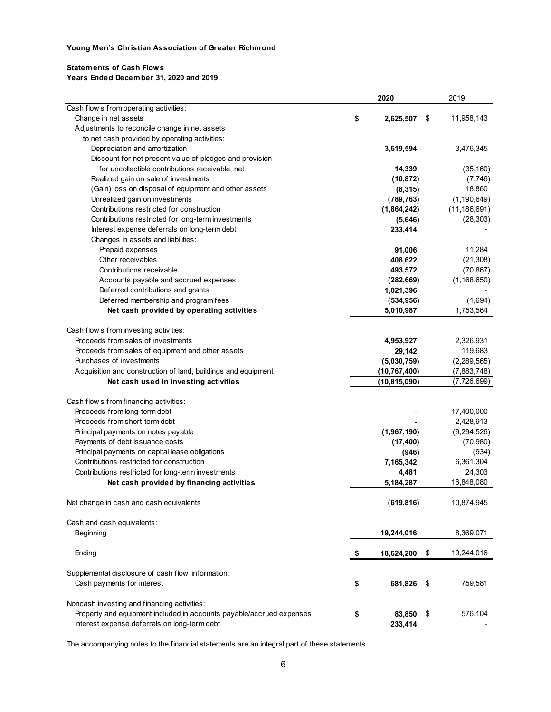#### **Statements of Cash Flows Years Ended December 31, 2020 and 2019**

|                                                                      | 2020             | 2019             |
|----------------------------------------------------------------------|------------------|------------------|
| Cash flow s from operating activities:                               |                  |                  |
| Change in net assets                                                 | \$<br>2,625,507  | \$<br>11,958,143 |
| Adjustments to reconcile change in net assets                        |                  |                  |
| to net cash provided by operating activities:                        |                  |                  |
| Depreciation and amortization                                        | 3,619,594        | 3,476,345        |
| Discount for net present value of pledges and provision              |                  |                  |
| for uncollectible contributions receivable, net                      | 14,339           | (35, 160)        |
| Realized gain on sale of investments                                 | (10, 872)        | (7, 746)         |
| (Gain) loss on disposal of equipment and other assets                | (8,315)          | 18,860           |
| Unrealized gain on investments                                       | (789, 763)       | (1, 190, 649)    |
| Contributions restricted for construction                            | (1,864,242)      | (11, 186, 691)   |
| Contributions restricted for long-term investments                   | (5,646)          | (28, 303)        |
| Interest expense deferrals on long-term debt                         | 233,414          |                  |
| Changes in assets and liabilities:                                   |                  |                  |
| Prepaid expenses                                                     | 91,006           | 11,284           |
| Other receivables                                                    | 408,622          | (21, 308)        |
| Contributions receivable                                             | 493,572          | (70, 867)        |
| Accounts payable and accrued expenses                                | (282, 669)       | (1, 168, 650)    |
| Deferred contributions and grants                                    | 1,021,396        |                  |
| Deferred membership and program fees                                 | (534, 956)       | (1,694)          |
| Net cash provided by operating activities                            | 5,010,987        | 1,753,564        |
|                                                                      |                  |                  |
| Cash flow s from investing activities:                               |                  |                  |
| Proceeds from sales of investments                                   | 4,953,927        | 2,326,931        |
| Proceeds from sales of equipment and other assets                    | 29,142           | 119,683          |
| Purchases of investments                                             | (5,030,759)      | (2, 289, 565)    |
| Acquisition and construction of land, buildings and equipment        | (10, 767, 400)   | (7,883,748)      |
| Net cash used in investing activities                                | (10, 815, 090)   | (7,726,699)      |
|                                                                      |                  |                  |
| Cash flow s from financing activities:                               |                  |                  |
| Proceeds from long-term debt                                         |                  | 17,400,000       |
| Proceeds from short-term debt                                        |                  | 2,428,913        |
| Principal payments on notes payable                                  | (1,967,190)      | (9,294,526)      |
| Payments of debt issuance costs                                      | (17, 400)        | (70, 980)        |
| Principal payments on capital lease obligations                      | (946)            | (934)            |
| Contributions restricted for construction                            | 7,165,342        | 6,361,304        |
| Contributions restricted for long-term investments                   | 4,481            | 24,303           |
| Net cash provided by financing activities                            | 5,184,287        | 16,848,080       |
| Net change in cash and cash equivalents                              | (619, 816)       | 10,874,945       |
|                                                                      |                  |                  |
| Cash and cash equivalents:                                           |                  |                  |
| Beginning                                                            | 19,244,016       | 8,369,071        |
| Ending                                                               | \$<br>18,624,200 | \$<br>19,244,016 |
|                                                                      |                  |                  |
| Supplemental disclosure of cash flow information:                    |                  |                  |
| Cash payments for interest                                           | \$<br>681,826    | \$<br>759,581    |
| Noncash investing and financing activities:                          |                  |                  |
| Property and equipment included in accounts payable/accrued expenses | \$<br>83,850     | \$<br>576,104    |
| Interest expense deferrals on long-term debt                         | 233,414          |                  |
|                                                                      |                  |                  |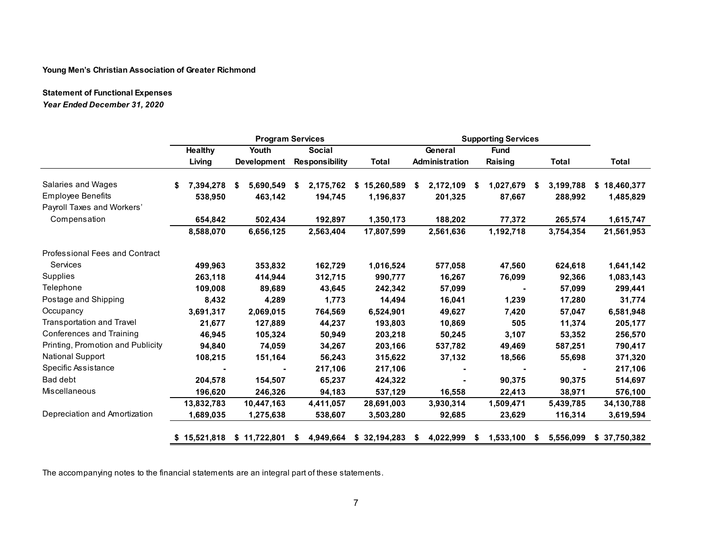## **Statement of Functional Expenses**

*Year Ended December 31, 2020*

|                                   |                 |                    | <b>Program Services</b> |                  |                | <b>Supporting Services</b> |                 |                  |
|-----------------------------------|-----------------|--------------------|-------------------------|------------------|----------------|----------------------------|-----------------|------------------|
|                                   | <b>Healthy</b>  | Youth              | <b>Social</b>           |                  | General        | <b>Fund</b>                |                 |                  |
|                                   | Living          | <b>Development</b> | <b>Responsibility</b>   | <b>Total</b>     | Administration | Raising                    | <b>Total</b>    | Total            |
| Salaries and Wages                | 7,394,278<br>\$ | 5,690,549<br>\$    | 2,175,762<br>\$         | 15,260,589<br>\$ | 2,172,109<br>S | 1,027,679<br>S             | 3,199,788<br>\$ | 18,460,377<br>\$ |
| <b>Employee Benefits</b>          | 538,950         | 463,142            | 194,745                 | 1,196,837        | 201,325        | 87,667                     | 288,992         | 1,485,829        |
| Payroll Taxes and Workers'        |                 |                    |                         |                  |                |                            |                 |                  |
| Compensation                      | 654,842         | 502,434            | 192,897                 | 1,350,173        | 188,202        | 77,372                     | 265,574         | 1,615,747        |
|                                   | 8,588,070       | 6,656,125          | 2,563,404               | 17,807,599       | 2,561,636      | 1,192,718                  | 3,754,354       | 21,561,953       |
| Professional Fees and Contract    |                 |                    |                         |                  |                |                            |                 |                  |
| Services                          | 499,963         | 353,832            | 162,729                 | 1,016,524        | 577,058        | 47,560                     | 624,618         | 1,641,142        |
| Supplies                          | 263,118         | 414,944            | 312,715                 | 990,777          | 16,267         | 76,099                     | 92,366          | 1,083,143        |
| Telephone                         | 109,008         | 89,689             | 43,645                  | 242,342          | 57,099         |                            | 57,099          | 299,441          |
| Postage and Shipping              | 8,432           | 4,289              | 1,773                   | 14,494           | 16,041         | 1,239                      | 17,280          | 31,774           |
| Occupancy                         | 3,691,317       | 2,069,015          | 764,569                 | 6,524,901        | 49,627         | 7,420                      | 57,047          | 6,581,948        |
| <b>Transportation and Travel</b>  | 21,677          | 127,889            | 44,237                  | 193,803          | 10,869         | 505                        | 11,374          | 205,177          |
| <b>Conferences and Training</b>   | 46,945          | 105,324            | 50,949                  | 203,218          | 50,245         | 3,107                      | 53,352          | 256,570          |
| Printing, Promotion and Publicity | 94,840          | 74,059             | 34,267                  | 203,166          | 537,782        | 49,469                     | 587,251         | 790,417          |
| <b>National Support</b>           | 108,215         | 151,164            | 56,243                  | 315,622          | 37,132         | 18,566                     | 55,698          | 371,320          |
| Specific Assistance               |                 |                    | 217,106                 | 217,106          |                |                            |                 | 217,106          |
| Bad debt                          | 204,578         | 154,507            | 65,237                  | 424,322          |                | 90,375                     | 90,375          | 514,697          |
| Miscellaneous                     | 196,620         | 246,326            | 94,183                  | 537,129          | 16,558         | 22,413                     | 38,971          | 576,100          |
|                                   | 13,832,783      | 10,447,163         | 4,411,057               | 28,691,003       | 3,930,314      | 1,509,471                  | 5,439,785       | 34,130,788       |
| Depreciation and Amortization     | 1,689,035       | 1,275,638          | 538,607                 | 3,503,280        | 92,685         | 23,629                     | 116,314         | 3,619,594        |
|                                   | \$15,521,818    | \$11,722,801       | 4,949,664<br>S.         | \$32,194,283     | 4,022,999<br>S | 1,533,100<br>- \$          | 5,556,099<br>S  | \$37,750,382     |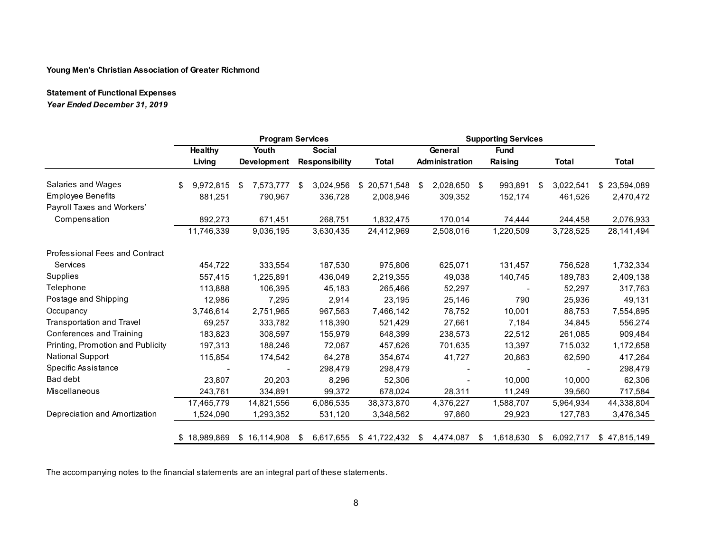## **Statement of Functional Expenses**

*Year Ended December 31, 2019*

|                                       |                 | <b>Program Services</b> |                       |              | <b>Supporting Services</b> |                |      |             |    |              |                  |  |  |  |  |  |  |  |
|---------------------------------------|-----------------|-------------------------|-----------------------|--------------|----------------------------|----------------|------|-------------|----|--------------|------------------|--|--|--|--|--|--|--|
|                                       | <b>Healthy</b>  | Youth                   | <b>Social</b>         |              |                            | General        |      | <b>Fund</b> |    |              |                  |  |  |  |  |  |  |  |
|                                       | Living          | Development             | <b>Responsibility</b> | <b>Total</b> |                            | Administration |      | Raising     |    | <b>Total</b> | Total            |  |  |  |  |  |  |  |
| Salaries and Wages                    | \$<br>9,972,815 | \$<br>7,573,777         | \$<br>3,024,956       | \$20,571,548 | \$                         | 2,028,650 \$   |      | 993,891     | \$ | 3,022,541    | 23,594,089<br>\$ |  |  |  |  |  |  |  |
| <b>Employee Benefits</b>              | 881,251         | 790,967                 | 336,728               | 2,008,946    |                            | 309,352        |      | 152,174     |    | 461,526      | 2,470,472        |  |  |  |  |  |  |  |
| Payroll Taxes and Workers'            |                 |                         |                       |              |                            |                |      |             |    |              |                  |  |  |  |  |  |  |  |
| Compensation                          | 892,273         | 671,451                 | 268,751               | 1,832,475    |                            | 170,014        |      | 74,444      |    | 244,458      | 2,076,933        |  |  |  |  |  |  |  |
|                                       | 11,746,339      | 9,036,195               | 3,630,435             | 24,412,969   |                            | 2,508,016      |      | 1,220,509   |    | 3,728,525    | 28,141,494       |  |  |  |  |  |  |  |
| <b>Professional Fees and Contract</b> |                 |                         |                       |              |                            |                |      |             |    |              |                  |  |  |  |  |  |  |  |
| <b>Services</b>                       | 454,722         | 333,554                 | 187,530               | 975,806      |                            | 625,071        |      | 131,457     |    | 756,528      | 1,732,334        |  |  |  |  |  |  |  |
| Supplies                              | 557,415         | 1,225,891               | 436,049               | 2,219,355    |                            | 49,038         |      | 140,745     |    | 189,783      | 2,409,138        |  |  |  |  |  |  |  |
| Telephone                             | 113,888         | 106,395                 | 45,183                | 265,466      |                            | 52,297         |      |             |    | 52,297       | 317,763          |  |  |  |  |  |  |  |
| Postage and Shipping                  | 12,986          | 7,295                   | 2,914                 | 23,195       |                            | 25,146         |      | 790         |    | 25,936       | 49,131           |  |  |  |  |  |  |  |
| Occupancy                             | 3,746,614       | 2,751,965               | 967,563               | 7,466,142    |                            | 78,752         |      | 10,001      |    | 88,753       | 7,554,895        |  |  |  |  |  |  |  |
| <b>Transportation and Travel</b>      | 69,257          | 333,782                 | 118,390               | 521,429      |                            | 27,661         |      | 7,184       |    | 34,845       | 556,274          |  |  |  |  |  |  |  |
| <b>Conferences and Training</b>       | 183,823         | 308,597                 | 155,979               | 648,399      |                            | 238,573        |      | 22,512      |    | 261,085      | 909,484          |  |  |  |  |  |  |  |
| Printing, Promotion and Publicity     | 197,313         | 188,246                 | 72,067                | 457,626      |                            | 701,635        |      | 13,397      |    | 715,032      | 1,172,658        |  |  |  |  |  |  |  |
| <b>National Support</b>               | 115,854         | 174,542                 | 64,278                | 354,674      |                            | 41,727         |      | 20,863      |    | 62,590       | 417,264          |  |  |  |  |  |  |  |
| Specific Assistance                   |                 |                         | 298,479               | 298,479      |                            |                |      |             |    |              | 298,479          |  |  |  |  |  |  |  |
| Bad debt                              | 23,807          | 20,203                  | 8,296                 | 52,306       |                            |                |      | 10,000      |    | 10,000       | 62,306           |  |  |  |  |  |  |  |
| <b>Miscellaneous</b>                  | 243,761         | 334,891                 | 99,372                | 678,024      |                            | 28,311         |      | 11,249      |    | 39,560       | 717,584          |  |  |  |  |  |  |  |
|                                       | 17,465,779      | 14,821,556              | 6,086,535             | 38,373,870   |                            | 4,376,227      |      | 1,588,707   |    | 5,964,934    | 44,338,804       |  |  |  |  |  |  |  |
| Depreciation and Amortization         | 1,524,090       | 1,293,352               | 531,120               | 3,348,562    |                            | 97,860         |      | 29,923      |    | 127,783      | 3,476,345        |  |  |  |  |  |  |  |
|                                       | \$18,989,869    | \$16,114,908            | \$<br>6,617,655       | \$41,722,432 | - \$                       | 4,474,087      | - \$ | 1,618,630   | S  | 6,092,717    | \$47,815,149     |  |  |  |  |  |  |  |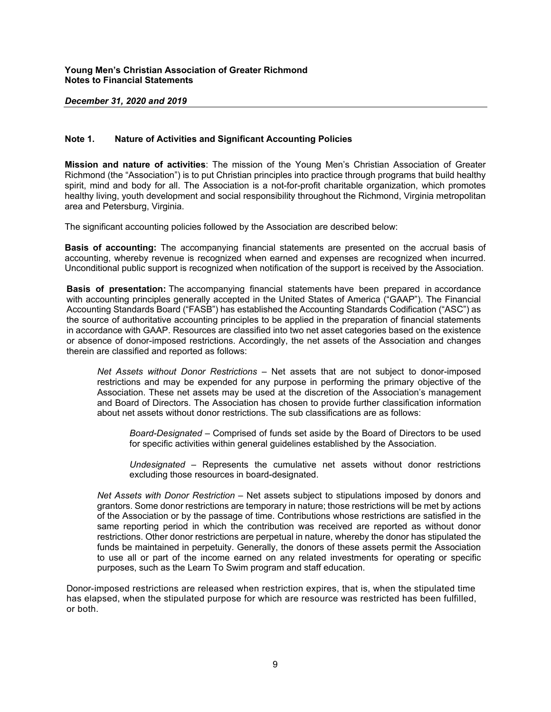#### **Young Men's Christian Association of Greater Richmond Notes to Financial Statements**

#### *December 31, 2020 and 2019*

#### **Note 1. Nature of Activities and Significant Accounting Policies**

**Mission and nature of activities**: The mission of the Young Men's Christian Association of Greater Richmond (the "Association") is to put Christian principles into practice through programs that build healthy spirit, mind and body for all. The Association is a not-for-profit charitable organization, which promotes healthy living, youth development and social responsibility throughout the Richmond, Virginia metropolitan area and Petersburg, Virginia.

The significant accounting policies followed by the Association are described below:

**Basis of accounting:** The accompanying financial statements are presented on the accrual basis of accounting, whereby revenue is recognized when earned and expenses are recognized when incurred. Unconditional public support is recognized when notification of the support is received by the Association.

**Basis of presentation:** The accompanying financial statements have been prepared in accordance with accounting principles generally accepted in the United States of America ("GAAP"). The Financial Accounting Standards Board ("FASB") has established the Accounting Standards Codification ("ASC") as the source of authoritative accounting principles to be applied in the preparation of financial statements in accordance with GAAP. Resources are classified into two net asset categories based on the existence or absence of donor-imposed restrictions. Accordingly, the net assets of the Association and changes therein are classified and reported as follows:

*Net Assets without Donor Restrictions –* Net assets that are not subject to donor-imposed restrictions and may be expended for any purpose in performing the primary objective of the Association. These net assets may be used at the discretion of the Association's management and Board of Directors. The Association has chosen to provide further classification information about net assets without donor restrictions. The sub classifications are as follows:

*Board-Designated* – Comprised of funds set aside by the Board of Directors to be used for specific activities within general guidelines established by the Association.

*Undesignated* – Represents the cumulative net assets without donor restrictions excluding those resources in board-designated.

*Net Assets with Donor Restriction* – Net assets subject to stipulations imposed by donors and grantors. Some donor restrictions are temporary in nature; those restrictions will be met by actions of the Association or by the passage of time. Contributions whose restrictions are satisfied in the same reporting period in which the contribution was received are reported as without donor restrictions. Other donor restrictions are perpetual in nature, whereby the donor has stipulated the funds be maintained in perpetuity. Generally, the donors of these assets permit the Association to use all or part of the income earned on any related investments for operating or specific purposes, such as the Learn To Swim program and staff education.

Donor-imposed restrictions are released when restriction expires, that is, when the stipulated time has elapsed, when the stipulated purpose for which are resource was restricted has been fulfilled, or both.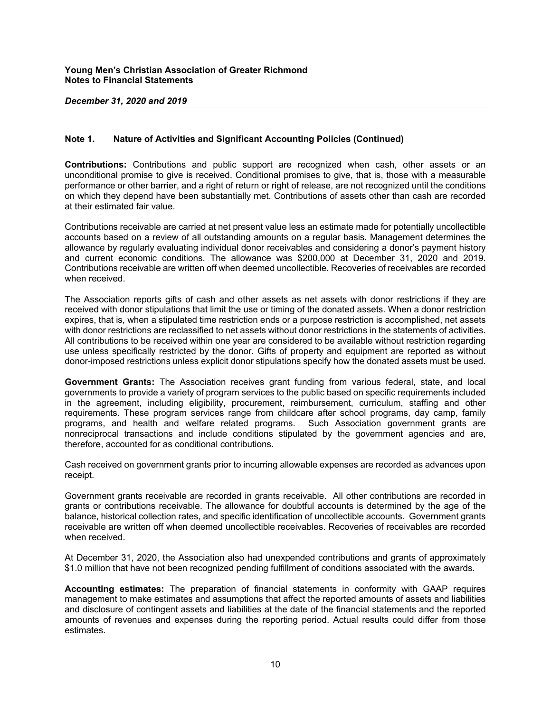#### **Note 1. Nature of Activities and Significant Accounting Policies (Continued)**

**Contributions:** Contributions and public support are recognized when cash, other assets or an unconditional promise to give is received. Conditional promises to give, that is, those with a measurable performance or other barrier, and a right of return or right of release, are not recognized until the conditions on which they depend have been substantially met. Contributions of assets other than cash are recorded at their estimated fair value.

Contributions receivable are carried at net present value less an estimate made for potentially uncollectible accounts based on a review of all outstanding amounts on a regular basis. Management determines the allowance by regularly evaluating individual donor receivables and considering a donor's payment history and current economic conditions. The allowance was \$200,000 at December 31, 2020 and 2019. Contributions receivable are written off when deemed uncollectible. Recoveries of receivables are recorded when received.

The Association reports gifts of cash and other assets as net assets with donor restrictions if they are received with donor stipulations that limit the use or timing of the donated assets. When a donor restriction expires, that is, when a stipulated time restriction ends or a purpose restriction is accomplished, net assets with donor restrictions are reclassified to net assets without donor restrictions in the statements of activities. All contributions to be received within one year are considered to be available without restriction regarding use unless specifically restricted by the donor. Gifts of property and equipment are reported as without donor-imposed restrictions unless explicit donor stipulations specify how the donated assets must be used.

**Government Grants:** The Association receives grant funding from various federal, state, and local governments to provide a variety of program services to the public based on specific requirements included in the agreement, including eligibility, procurement, reimbursement, curriculum, staffing and other requirements. These program services range from childcare after school programs, day camp, family programs, and health and welfare related programs. Such Association government grants are nonreciprocal transactions and include conditions stipulated by the government agencies and are, therefore, accounted for as conditional contributions.

Cash received on government grants prior to incurring allowable expenses are recorded as advances upon receipt.

Government grants receivable are recorded in grants receivable. All other contributions are recorded in grants or contributions receivable. The allowance for doubtful accounts is determined by the age of the balance, historical collection rates, and specific identification of uncollectible accounts. Government grants receivable are written off when deemed uncollectible receivables. Recoveries of receivables are recorded when received.

At December 31, 2020, the Association also had unexpended contributions and grants of approximately \$1.0 million that have not been recognized pending fulfillment of conditions associated with the awards.

**Accounting estimates:** The preparation of financial statements in conformity with GAAP requires management to make estimates and assumptions that affect the reported amounts of assets and liabilities and disclosure of contingent assets and liabilities at the date of the financial statements and the reported amounts of revenues and expenses during the reporting period. Actual results could differ from those estimates.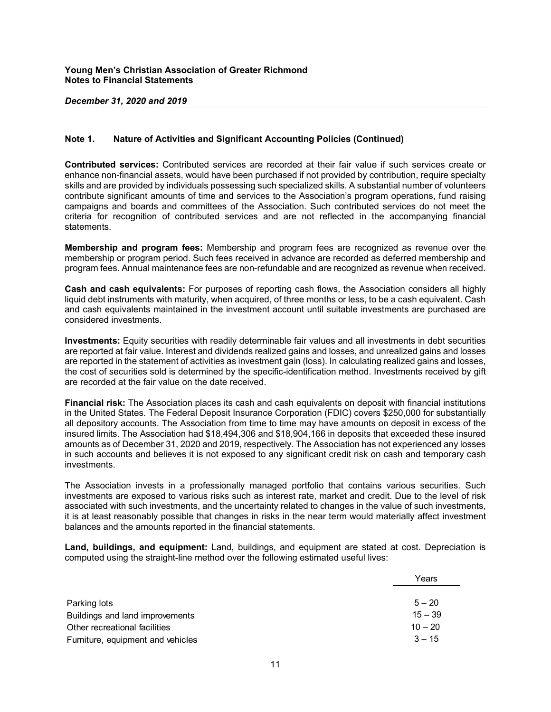#### **Young Men's Christian Association of Greater Richmond Notes to Financial Statements**

#### *December 31, 2020 and 2019*

#### **Note 1. Nature of Activities and Significant Accounting Policies (Continued)**

**Contributed services:** Contributed services are recorded at their fair value if such services create or enhance non-financial assets, would have been purchased if not provided by contribution, require specialty skills and are provided by individuals possessing such specialized skills. A substantial number of volunteers contribute significant amounts of time and services to the Association's program operations, fund raising campaigns and boards and committees of the Association. Such contributed services do not meet the criteria for recognition of contributed services and are not reflected in the accompanying financial statements.

**Membership and program fees:** Membership and program fees are recognized as revenue over the membership or program period. Such fees received in advance are recorded as deferred membership and program fees. Annual maintenance fees are non-refundable and are recognized as revenue when received.

**Cash and cash equivalents:** For purposes of reporting cash flows, the Association considers all highly liquid debt instruments with maturity, when acquired, of three months or less, to be a cash equivalent. Cash and cash equivalents maintained in the investment account until suitable investments are purchased are considered investments.

**Investments:** Equity securities with readily determinable fair values and all investments in debt securities are reported at fair value. Interest and dividends realized gains and losses, and unrealized gains and losses are reported in the statement of activities as investment gain (loss). In calculating realized gains and losses, the cost of securities sold is determined by the specific-identification method. Investments received by gift are recorded at the fair value on the date received.

**Financial risk:** The Association places its cash and cash equivalents on deposit with financial institutions in the United States. The Federal Deposit Insurance Corporation (FDIC) covers \$250,000 for substantially all depository accounts. The Association from time to time may have amounts on deposit in excess of the insured limits. The Association had \$18,494,306 and \$18,904,166 in deposits that exceeded these insured amounts as of December 31, 2020 and 2019, respectively. The Association has not experienced any losses in such accounts and believes it is not exposed to any significant credit risk on cash and temporary cash investments.

The Association invests in a professionally managed portfolio that contains various securities. Such investments are exposed to various risks such as interest rate, market and credit. Due to the level of risk associated with such investments, and the uncertainty related to changes in the value of such investments, it is at least reasonably possible that changes in risks in the near term would materially affect investment balances and the amounts reported in the financial statements.

**Land, buildings, and equipment:** Land, buildings, and equipment are stated at cost. Depreciation is computed using the straight-line method over the following estimated useful lives:

|                                   | Years     |
|-----------------------------------|-----------|
|                                   |           |
| Parking lots                      | $5 - 20$  |
| Buildings and land improvements   | $15 - 39$ |
| Other recreational facilities     | $10 - 20$ |
| Furniture, equipment and vehicles | $3 - 15$  |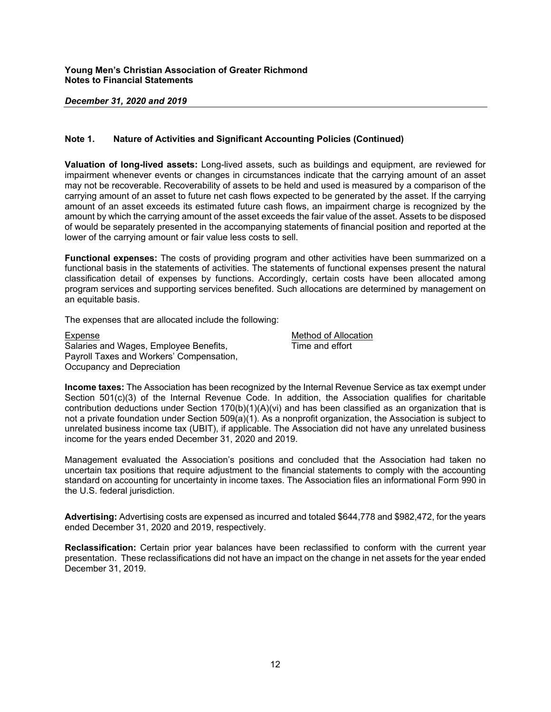#### **Note 1. Nature of Activities and Significant Accounting Policies (Continued)**

**Valuation of long-lived assets:** Long-lived assets, such as buildings and equipment, are reviewed for impairment whenever events or changes in circumstances indicate that the carrying amount of an asset may not be recoverable. Recoverability of assets to be held and used is measured by a comparison of the carrying amount of an asset to future net cash flows expected to be generated by the asset. If the carrying amount of an asset exceeds its estimated future cash flows, an impairment charge is recognized by the amount by which the carrying amount of the asset exceeds the fair value of the asset. Assets to be disposed of would be separately presented in the accompanying statements of financial position and reported at the lower of the carrying amount or fair value less costs to sell.

**Functional expenses:** The costs of providing program and other activities have been summarized on a functional basis in the statements of activities. The statements of functional expenses present the natural classification detail of expenses by functions. Accordingly, certain costs have been allocated among program services and supporting services benefited. Such allocations are determined by management on an equitable basis.

The expenses that are allocated include the following:

Expense<br>Salaries and Wages. Employee Benefits. Time and effort Salaries and Wages, Employee Benefits, Payroll Taxes and Workers' Compensation, Occupancy and Depreciation

**Income taxes:** The Association has been recognized by the Internal Revenue Service as tax exempt under Section 501(c)(3) of the Internal Revenue Code. In addition, the Association qualifies for charitable contribution deductions under Section 170(b)(1)(A)(vi) and has been classified as an organization that is not a private foundation under Section 509(a)(1). As a nonprofit organization, the Association is subject to unrelated business income tax (UBIT), if applicable. The Association did not have any unrelated business income for the years ended December 31, 2020 and 2019.

Management evaluated the Association's positions and concluded that the Association had taken no uncertain tax positions that require adjustment to the financial statements to comply with the accounting standard on accounting for uncertainty in income taxes. The Association files an informational Form 990 in the U.S. federal jurisdiction.

**Advertising:** Advertising costs are expensed as incurred and totaled \$644,778 and \$982,472, for the years ended December 31, 2020 and 2019, respectively.

**Reclassification:** Certain prior year balances have been reclassified to conform with the current year presentation. These reclassifications did not have an impact on the change in net assets for the year ended December 31, 2019.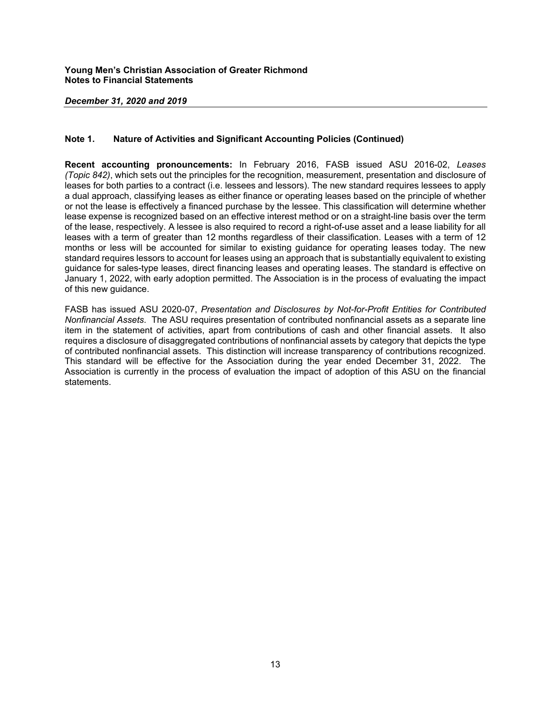#### **Note 1. Nature of Activities and Significant Accounting Policies (Continued)**

**Recent accounting pronouncements:** In February 2016, FASB issued ASU 2016-02, *Leases (Topic 842)*, which sets out the principles for the recognition, measurement, presentation and disclosure of leases for both parties to a contract (i.e. lessees and lessors). The new standard requires lessees to apply a dual approach, classifying leases as either finance or operating leases based on the principle of whether or not the lease is effectively a financed purchase by the lessee. This classification will determine whether lease expense is recognized based on an effective interest method or on a straight-line basis over the term of the lease, respectively. A lessee is also required to record a right-of-use asset and a lease liability for all leases with a term of greater than 12 months regardless of their classification. Leases with a term of 12 months or less will be accounted for similar to existing guidance for operating leases today. The new standard requires lessors to account for leases using an approach that is substantially equivalent to existing guidance for sales-type leases, direct financing leases and operating leases. The standard is effective on January 1, 2022, with early adoption permitted. The Association is in the process of evaluating the impact of this new guidance.

FASB has issued ASU 2020-07, *Presentation and Disclosures by Not-for-Profit Entities for Contributed Nonfinancial Assets*. The ASU requires presentation of contributed nonfinancial assets as a separate line item in the statement of activities, apart from contributions of cash and other financial assets. It also requires a disclosure of disaggregated contributions of nonfinancial assets by category that depicts the type of contributed nonfinancial assets. This distinction will increase transparency of contributions recognized. This standard will be effective for the Association during the year ended December 31, 2022. The Association is currently in the process of evaluation the impact of adoption of this ASU on the financial statements.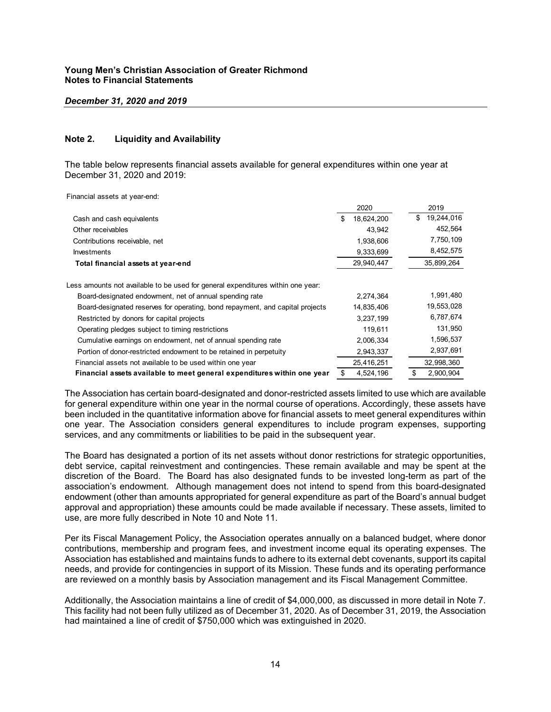## **Note 2. Liquidity and Availability**

The table below represents financial assets available for general expenditures within one year at December 31, 2020 and 2019:

Financial assets at year-end:

|                                                                                 | 2020             |    | 2019       |
|---------------------------------------------------------------------------------|------------------|----|------------|
| Cash and cash equivalents                                                       | \$<br>18,624,200 | \$ | 19,244,016 |
| Other receivables                                                               | 43.942           |    | 452,564    |
| Contributions receivable, net                                                   | 1,938,606        |    | 7,750,109  |
| <b>Investments</b>                                                              | 9,333,699        |    | 8,452,575  |
| Total financial assets at year-end                                              | 29,940,447       |    | 35,899,264 |
| Less amounts not available to be used for general expenditures within one year: |                  |    |            |
| Board-designated endowment, net of annual spending rate                         | 2,274,364        |    | 1,991,480  |
| Board-designated reserves for operating, bond repayment, and capital projects   | 14,835,406       |    | 19,553,028 |
| Restricted by donors for capital projects                                       | 3,237,199        |    | 6,787,674  |
| Operating pledges subject to timing restrictions                                | 119,611          |    | 131,950    |
| Cumulative earnings on endowment, net of annual spending rate                   | 2,006,334        |    | 1,596,537  |
| Portion of donor-restricted endowment to be retained in perpetuity              | 2,943,337        |    | 2,937,691  |
| Financial assets not available to be used within one year                       | 25,416,251       |    | 32,998,360 |
| Financial assets available to meet general expenditures within one year         | \$<br>4,524,196  |    | 2,900,904  |

The Association has certain board-designated and donor-restricted assets limited to use which are available for general expenditure within one year in the normal course of operations. Accordingly, these assets have been included in the quantitative information above for financial assets to meet general expenditures within one year. The Association considers general expenditures to include program expenses, supporting services, and any commitments or liabilities to be paid in the subsequent year.

The Board has designated a portion of its net assets without donor restrictions for strategic opportunities, debt service, capital reinvestment and contingencies. These remain available and may be spent at the discretion of the Board. The Board has also designated funds to be invested long-term as part of the association's endowment. Although management does not intend to spend from this board-designated endowment (other than amounts appropriated for general expenditure as part of the Board's annual budget approval and appropriation) these amounts could be made available if necessary. These assets, limited to use, are more fully described in Note 10 and Note 11.

Per its Fiscal Management Policy, the Association operates annually on a balanced budget, where donor contributions, membership and program fees, and investment income equal its operating expenses. The Association has established and maintains funds to adhere to its external debt covenants, support its capital needs, and provide for contingencies in support of its Mission. These funds and its operating performance are reviewed on a monthly basis by Association management and its Fiscal Management Committee.

Additionally, the Association maintains a line of credit of \$4,000,000, as discussed in more detail in Note 7. This facility had not been fully utilized as of December 31, 2020. As of December 31, 2019, the Association had maintained a line of credit of \$750,000 which was extinguished in 2020.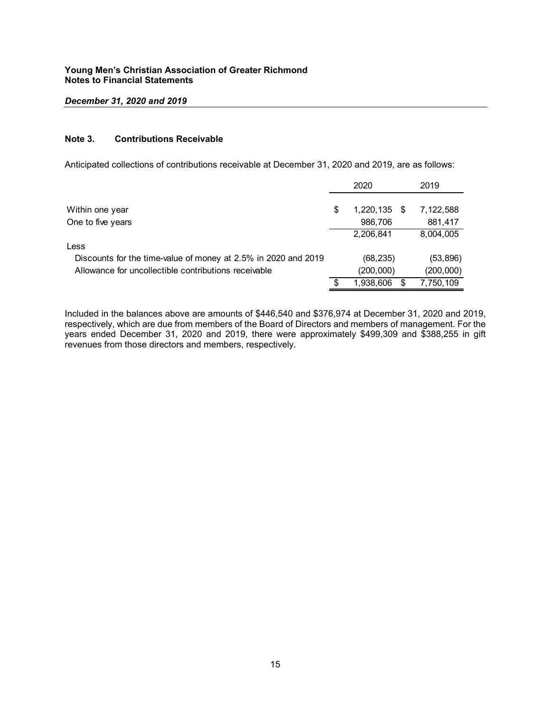## **Note 3. Contributions Receivable**

Anticipated collections of contributions receivable at December 31, 2020 and 2019, are as follows:

|                                                                |    | 2020           | 2019      |
|----------------------------------------------------------------|----|----------------|-----------|
|                                                                |    |                |           |
| Within one year                                                | S  | $1,220,135$ \$ | 7,122,588 |
| One to five years                                              |    | 986,706        | 881,417   |
|                                                                |    | 2,206,841      | 8,004,005 |
| Less                                                           |    |                |           |
| Discounts for the time-value of money at 2.5% in 2020 and 2019 |    | (68, 235)      | (53, 896) |
| Allowance for uncollectible contributions receivable           |    | (200,000)      | (200,000) |
|                                                                | \$ | 1,938,606      | 7,750,109 |

Included in the balances above are amounts of \$446,540 and \$376,974 at December 31, 2020 and 2019, respectively, which are due from members of the Board of Directors and members of management. For the years ended December 31, 2020 and 2019, there were approximately \$499,309 and \$388,255 in gift revenues from those directors and members, respectively.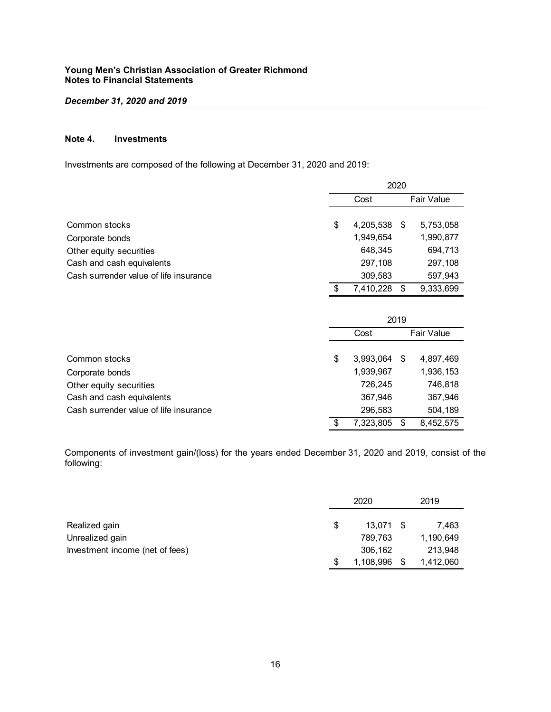#### **Young Men's Christian Association of Greater Richmond Notes to Financial Statements**

## *December 31, 2020 and 2019*

## **Note 4. Investments**

Investments are composed of the following at December 31, 2020 and 2019:

|                                        |    | 2020       |     |           |  |  |  |  |
|----------------------------------------|----|------------|-----|-----------|--|--|--|--|
|                                        |    | Fair Value |     |           |  |  |  |  |
| Common stocks                          | \$ | 4,205,538  | \$. | 5,753,058 |  |  |  |  |
| Corporate bonds                        |    | 1,949,654  |     | 1,990,877 |  |  |  |  |
| Other equity securities                |    | 648,345    |     | 694,713   |  |  |  |  |
| Cash and cash equivalents              |    | 297,108    |     | 297,108   |  |  |  |  |
| Cash surrender value of life insurance |    | 309,583    |     | 597,943   |  |  |  |  |
|                                        | S  | 7,410,228  |     | 9,333,699 |  |  |  |  |

|                                        |    | 2019      |                   |           |  |  |  |  |
|----------------------------------------|----|-----------|-------------------|-----------|--|--|--|--|
|                                        |    |           | <b>Fair Value</b> |           |  |  |  |  |
| Common stocks                          | \$ | 3,993,064 | \$.               | 4,897,469 |  |  |  |  |
| Corporate bonds                        |    | 1,939,967 |                   | 1,936,153 |  |  |  |  |
| Other equity securities                |    | 726,245   |                   | 746,818   |  |  |  |  |
| Cash and cash equivalents              |    | 367,946   |                   | 367,946   |  |  |  |  |
| Cash surrender value of life insurance |    | 296,583   |                   | 504,189   |  |  |  |  |
|                                        | \$ | 7,323,805 |                   | 8,452,575 |  |  |  |  |

Components of investment gain/(loss) for the years ended December 31, 2020 and 2019, consist of the following:

|                                 |   | 2020      |  | 2019      |  |
|---------------------------------|---|-----------|--|-----------|--|
| Realized gain                   | S | 13.071 \$ |  | 7.463     |  |
| Unrealized gain                 |   | 789.763   |  | 1,190,649 |  |
| Investment income (net of fees) |   | 306,162   |  | 213,948   |  |
|                                 |   | 1,108,996 |  | 1,412,060 |  |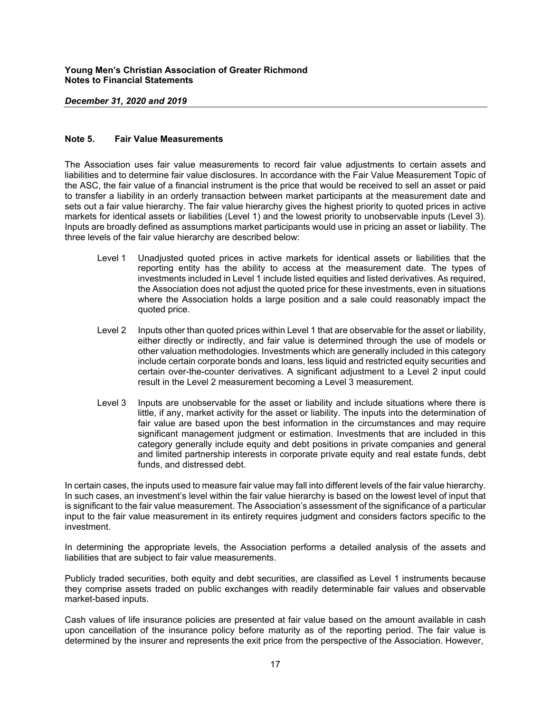#### **Note 5. Fair Value Measurements**

The Association uses fair value measurements to record fair value adjustments to certain assets and liabilities and to determine fair value disclosures. In accordance with the Fair Value Measurement Topic of the ASC, the fair value of a financial instrument is the price that would be received to sell an asset or paid to transfer a liability in an orderly transaction between market participants at the measurement date and sets out a fair value hierarchy. The fair value hierarchy gives the highest priority to quoted prices in active markets for identical assets or liabilities (Level 1) and the lowest priority to unobservable inputs (Level 3). Inputs are broadly defined as assumptions market participants would use in pricing an asset or liability. The three levels of the fair value hierarchy are described below:

- Level 1 Unadjusted quoted prices in active markets for identical assets or liabilities that the reporting entity has the ability to access at the measurement date. The types of investments included in Level 1 include listed equities and listed derivatives. As required, the Association does not adjust the quoted price for these investments, even in situations where the Association holds a large position and a sale could reasonably impact the quoted price.
- Level 2 Inputs other than quoted prices within Level 1 that are observable for the asset or liability, either directly or indirectly, and fair value is determined through the use of models or other valuation methodologies. Investments which are generally included in this category include certain corporate bonds and loans, less liquid and restricted equity securities and certain over-the-counter derivatives. A significant adjustment to a Level 2 input could result in the Level 2 measurement becoming a Level 3 measurement.
- Level 3 Inputs are unobservable for the asset or liability and include situations where there is little, if any, market activity for the asset or liability. The inputs into the determination of fair value are based upon the best information in the circumstances and may require significant management judgment or estimation. Investments that are included in this category generally include equity and debt positions in private companies and general and limited partnership interests in corporate private equity and real estate funds, debt funds, and distressed debt.

In certain cases, the inputs used to measure fair value may fall into different levels of the fair value hierarchy. In such cases, an investment's level within the fair value hierarchy is based on the lowest level of input that is significant to the fair value measurement. The Association's assessment of the significance of a particular input to the fair value measurement in its entirety requires judgment and considers factors specific to the investment.

In determining the appropriate levels, the Association performs a detailed analysis of the assets and liabilities that are subject to fair value measurements.

Publicly traded securities, both equity and debt securities, are classified as Level 1 instruments because they comprise assets traded on public exchanges with readily determinable fair values and observable market-based inputs.

Cash values of life insurance policies are presented at fair value based on the amount available in cash upon cancellation of the insurance policy before maturity as of the reporting period. The fair value is determined by the insurer and represents the exit price from the perspective of the Association. However,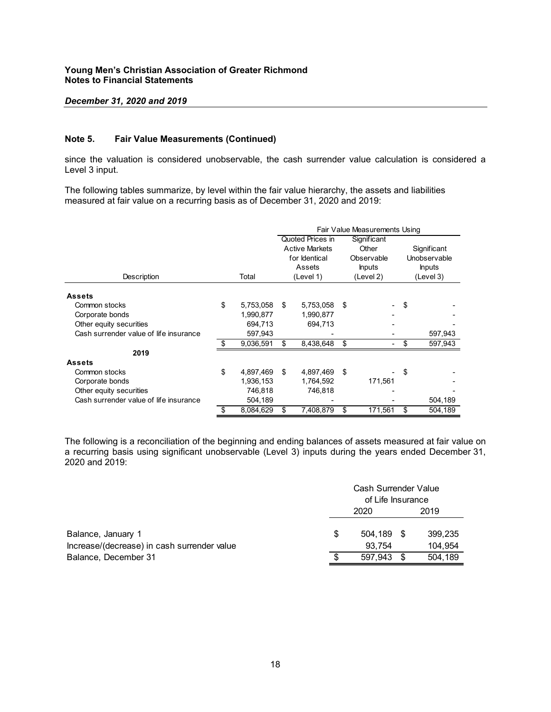#### **Young Men's Christian Association of Greater Richmond Notes to Financial Statements**

#### *December 31, 2020 and 2019*

## **Note 5. Fair Value Measurements (Continued)**

since the valuation is considered unobservable, the cash surrender value calculation is considered a Level 3 input.

The following tables summarize, by level within the fair value hierarchy, the assets and liabilities measured at fair value on a recurring basis as of December 31, 2020 and 2019:

|                                        |                 | Fair Value Measurements Using |                       |    |               |    |               |
|----------------------------------------|-----------------|-------------------------------|-----------------------|----|---------------|----|---------------|
|                                        |                 |                               | Quoted Prices in      |    | Significant   |    |               |
|                                        |                 |                               | <b>Active Markets</b> |    | Other         |    | Significant   |
|                                        |                 |                               | for Identical         |    | Observable    |    | Unobservable  |
|                                        |                 |                               | Assets                |    | <b>Inputs</b> |    | <b>Inputs</b> |
| Description                            | Total           |                               | (Level 1)             |    | (Level 2)     |    | (Level 3)     |
| <b>Assets</b>                          |                 |                               |                       |    |               |    |               |
| Common stocks                          | \$<br>5,753,058 | \$                            | 5,753,058             | \$ |               | \$ |               |
| Corporate bonds                        | 1,990,877       |                               | 1,990,877             |    |               |    |               |
| Other equity securities                | 694,713         |                               | 694,713               |    |               |    |               |
| Cash surrender value of life insurance | 597,943         |                               |                       |    |               |    | 597,943       |
|                                        | 9,036,591       | \$                            | 8,438,648             | \$ |               | \$ | 597,943       |
| 2019                                   |                 |                               |                       |    |               |    |               |
| Assets                                 |                 |                               |                       |    |               |    |               |
| Common stocks                          | \$<br>4,897,469 | \$                            | 4,897,469             | \$ |               | \$ |               |
| Corporate bonds                        | 1,936,153       |                               | 1,764,592             |    | 171,561       |    |               |
| Other equity securities                | 746,818         |                               | 746,818               |    |               |    |               |
| Cash surrender value of life insurance | 504,189         |                               |                       |    |               |    | 504,189       |
|                                        | \$<br>8,084,629 | \$                            | 7,408,879             | \$ | 171,561       | \$ | 504,189       |

The following is a reconciliation of the beginning and ending balances of assets measured at fair value on a recurring basis using significant unobservable (Level 3) inputs during the years ended December 31, 2020 and 2019:

|                                             | Cash Surrender Value<br>of Life Insurance |         |      |         |
|---------------------------------------------|-------------------------------------------|---------|------|---------|
|                                             | 2020                                      |         |      | 2019    |
| Balance, January 1                          | S                                         | 504.189 | - \$ | 399,235 |
| Increase/(decrease) in cash surrender value |                                           | 93.754  |      | 104,954 |
| Balance, December 31                        | \$                                        | 597.943 | \$.  | 504,189 |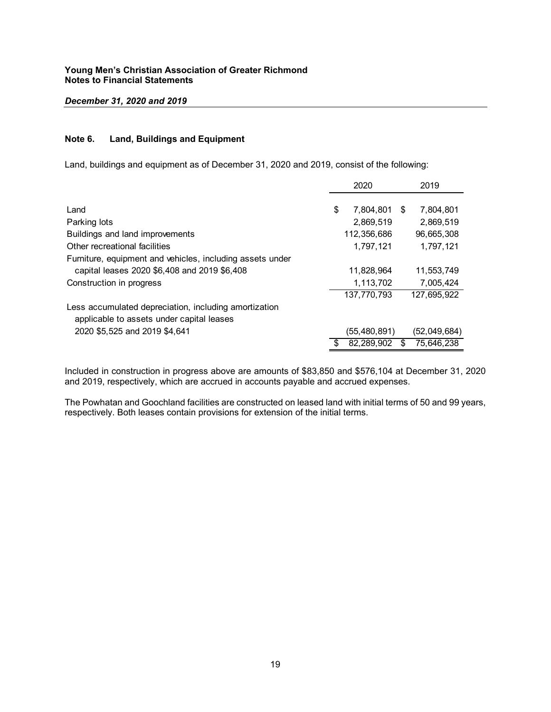## **Note 6. Land, Buildings and Equipment**

Land, buildings and equipment as of December 31, 2020 and 2019, consist of the following:

|                                                           | 2020             |     | 2019         |
|-----------------------------------------------------------|------------------|-----|--------------|
|                                                           |                  |     |              |
| Land                                                      | \$<br>7,804,801  | \$. | 7,804,801    |
| Parking lots                                              | 2,869,519        |     | 2,869,519    |
| Buildings and land improvements                           | 112,356,686      |     | 96,665,308   |
| Other recreational facilities                             | 1,797,121        |     | 1,797,121    |
| Furniture, equipment and vehicles, including assets under |                  |     |              |
| capital leases 2020 \$6,408 and 2019 \$6,408              | 11,828,964       |     | 11,553,749   |
| Construction in progress                                  | 1,113,702        |     | 7,005,424    |
|                                                           | 137,770,793      |     | 127,695,922  |
| Less accumulated depreciation, including amortization     |                  |     |              |
| applicable to assets under capital leases                 |                  |     |              |
| 2020 \$5,525 and 2019 \$4,641                             | (55.480.891)     |     | (52,049,684) |
|                                                           | \$<br>82,289,902 | \$. | 75,646,238   |
|                                                           |                  |     |              |

Included in construction in progress above are amounts of \$83,850 and \$576,104 at December 31, 2020 and 2019, respectively, which are accrued in accounts payable and accrued expenses.

The Powhatan and Goochland facilities are constructed on leased land with initial terms of 50 and 99 years, respectively. Both leases contain provisions for extension of the initial terms.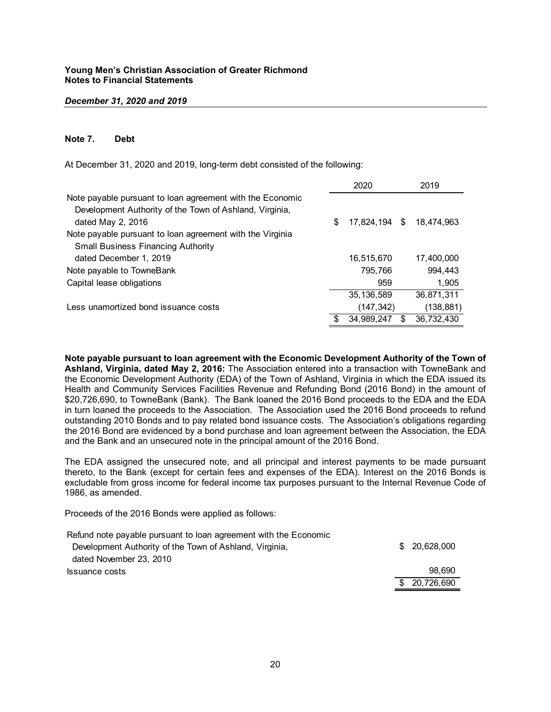#### **Note 7. Debt**

At December 31, 2020 and 2019, long-term debt consisted of the following:

|                                                           | 2020                | 2019       |
|-----------------------------------------------------------|---------------------|------------|
| Note payable pursuant to loan agreement with the Economic |                     |            |
| Development Authority of the Town of Ashland, Virginia,   |                     |            |
| dated May 2, 2016                                         | \$<br>17.824.194 \$ | 18.474.963 |
| Note payable pursuant to loan agreement with the Virginia |                     |            |
| <b>Small Business Financing Authority</b>                 |                     |            |
| dated December 1, 2019                                    | 16,515,670          | 17,400,000 |
| Note payable to TowneBank                                 | 795,766             | 994,443    |
| Capital lease obligations                                 | 959                 | 1,905      |
|                                                           | 35, 136, 589        | 36,871,311 |
| Less unamortized bond issuance costs                      | (147, 342)          | (138,881)  |
|                                                           | 34,989,247          | 36,732,430 |

**Note payable pursuant to loan agreement with the Economic Development Authority of the Town of Ashland, Virginia, dated May 2, 2016:** The Association entered into a transaction with TowneBank and the Economic Development Authority (EDA) of the Town of Ashland, Virginia in which the EDA issued its Health and Community Services Facilities Revenue and Refunding Bond (2016 Bond) in the amount of \$20,726,690, to TowneBank (Bank). The Bank loaned the 2016 Bond proceeds to the EDA and the EDA in turn loaned the proceeds to the Association. The Association used the 2016 Bond proceeds to refund outstanding 2010 Bonds and to pay related bond issuance costs. The Association's obligations regarding the 2016 Bond are evidenced by a bond purchase and loan agreement between the Association, the EDA and the Bank and an unsecured note in the principal amount of the 2016 Bond.

The EDA assigned the unsecured note, and all principal and interest payments to be made pursuant thereto, to the Bank (except for certain fees and expenses of the EDA). Interest on the 2016 Bonds is excludable from gross income for federal income tax purposes pursuant to the Internal Revenue Code of 1986, as amended.

Proceeds of the 2016 Bonds were applied as follows:

| Refund note payable pursuant to loan agreement with the Economic |               |
|------------------------------------------------------------------|---------------|
| Development Authority of the Town of Ashland, Virginia,          | \$ 20,628,000 |
| dated November 23, 2010                                          |               |
| <b>Issuance costs</b>                                            | 98.690        |
|                                                                  | \$ 20,726,690 |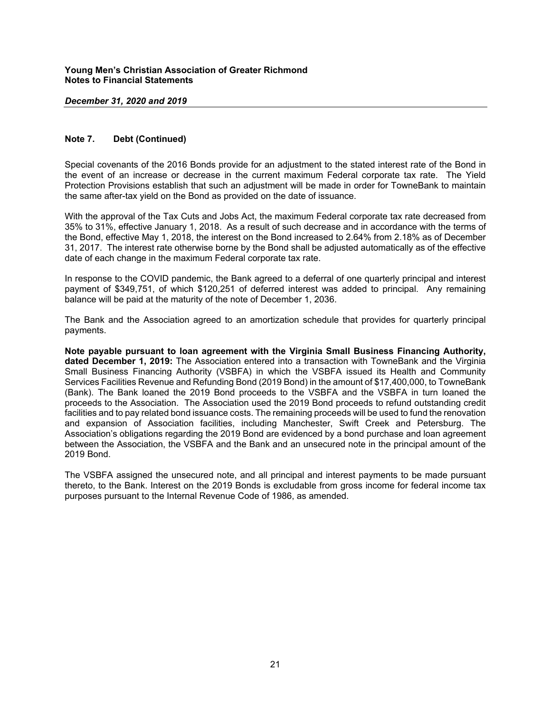#### **Note 7. Debt (Continued)**

Special covenants of the 2016 Bonds provide for an adjustment to the stated interest rate of the Bond in the event of an increase or decrease in the current maximum Federal corporate tax rate. The Yield Protection Provisions establish that such an adjustment will be made in order for TowneBank to maintain the same after-tax yield on the Bond as provided on the date of issuance.

With the approval of the Tax Cuts and Jobs Act, the maximum Federal corporate tax rate decreased from 35% to 31%, effective January 1, 2018. As a result of such decrease and in accordance with the terms of the Bond, effective May 1, 2018, the interest on the Bond increased to 2.64% from 2.18% as of December 31, 2017. The interest rate otherwise borne by the Bond shall be adjusted automatically as of the effective date of each change in the maximum Federal corporate tax rate.

In response to the COVID pandemic, the Bank agreed to a deferral of one quarterly principal and interest payment of \$349,751, of which \$120,251 of deferred interest was added to principal. Any remaining balance will be paid at the maturity of the note of December 1, 2036.

The Bank and the Association agreed to an amortization schedule that provides for quarterly principal payments.

**Note payable pursuant to loan agreement with the Virginia Small Business Financing Authority, dated December 1, 2019:** The Association entered into a transaction with TowneBank and the Virginia Small Business Financing Authority (VSBFA) in which the VSBFA issued its Health and Community Services Facilities Revenue and Refunding Bond (2019 Bond) in the amount of \$17,400,000, to TowneBank (Bank). The Bank loaned the 2019 Bond proceeds to the VSBFA and the VSBFA in turn loaned the proceeds to the Association. The Association used the 2019 Bond proceeds to refund outstanding credit facilities and to pay related bond issuance costs. The remaining proceeds will be used to fund the renovation and expansion of Association facilities, including Manchester, Swift Creek and Petersburg. The Association's obligations regarding the 2019 Bond are evidenced by a bond purchase and loan agreement between the Association, the VSBFA and the Bank and an unsecured note in the principal amount of the 2019 Bond.

The VSBFA assigned the unsecured note, and all principal and interest payments to be made pursuant thereto, to the Bank. Interest on the 2019 Bonds is excludable from gross income for federal income tax purposes pursuant to the Internal Revenue Code of 1986, as amended.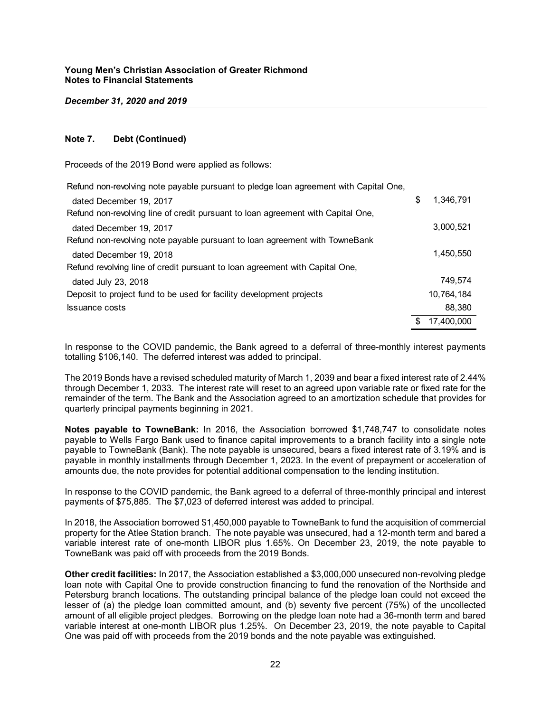#### **Note 7. Debt (Continued)**

Proceeds of the 2019 Bond were applied as follows:

| Refund non-revolving note payable pursuant to pledge loan agreement with Capital One, |     |            |
|---------------------------------------------------------------------------------------|-----|------------|
| dated December 19, 2017                                                               | \$  | 1,346,791  |
| Refund non-revolving line of credit pursuant to loan agreement with Capital One,      |     |            |
| dated December 19, 2017                                                               |     | 3,000,521  |
| Refund non-revolving note payable pursuant to loan agreement with TowneBank           |     |            |
| dated December 19, 2018                                                               |     | 1,450,550  |
| Refund revolving line of credit pursuant to loan agreement with Capital One,          |     |            |
| dated July 23, 2018                                                                   |     | 749,574    |
| Deposit to project fund to be used for facility development projects                  |     | 10,764,184 |
| <b>Issuance costs</b>                                                                 |     | 88,380     |
|                                                                                       | \$. | 17,400,000 |

In response to the COVID pandemic, the Bank agreed to a deferral of three-monthly interest payments totalling \$106,140. The deferred interest was added to principal.

The 2019 Bonds have a revised scheduled maturity of March 1, 2039 and bear a fixed interest rate of 2.44% through December 1, 2033. The interest rate will reset to an agreed upon variable rate or fixed rate for the remainder of the term. The Bank and the Association agreed to an amortization schedule that provides for quarterly principal payments beginning in 2021.

**Notes payable to TowneBank:** In 2016, the Association borrowed \$1,748,747 to consolidate notes payable to Wells Fargo Bank used to finance capital improvements to a branch facility into a single note payable to TowneBank (Bank). The note payable is unsecured, bears a fixed interest rate of 3.19% and is payable in monthly installments through December 1, 2023. In the event of prepayment or acceleration of amounts due, the note provides for potential additional compensation to the lending institution.

In response to the COVID pandemic, the Bank agreed to a deferral of three-monthly principal and interest payments of \$75,885. The \$7,023 of deferred interest was added to principal.

In 2018, the Association borrowed \$1,450,000 payable to TowneBank to fund the acquisition of commercial property for the Atlee Station branch. The note payable was unsecured, had a 12-month term and bared a variable interest rate of one-month LIBOR plus 1.65%. On December 23, 2019, the note payable to TowneBank was paid off with proceeds from the 2019 Bonds.

**Other credit facilities:** In 2017, the Association established a \$3,000,000 unsecured non-revolving pledge loan note with Capital One to provide construction financing to fund the renovation of the Northside and Petersburg branch locations. The outstanding principal balance of the pledge loan could not exceed the lesser of (a) the pledge loan committed amount, and (b) seventy five percent (75%) of the uncollected amount of all eligible project pledges. Borrowing on the pledge loan note had a 36-month term and bared variable interest at one-month LIBOR plus 1.25%. On December 23, 2019, the note payable to Capital One was paid off with proceeds from the 2019 bonds and the note payable was extinguished.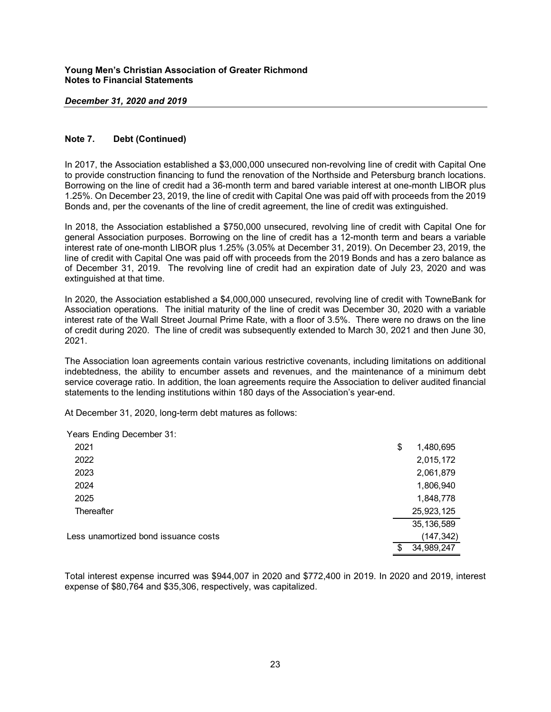## **Note 7. Debt (Continued)**

In 2017, the Association established a \$3,000,000 unsecured non-revolving line of credit with Capital One to provide construction financing to fund the renovation of the Northside and Petersburg branch locations. Borrowing on the line of credit had a 36-month term and bared variable interest at one-month LIBOR plus 1.25%. On December 23, 2019, the line of credit with Capital One was paid off with proceeds from the 2019 Bonds and, per the covenants of the line of credit agreement, the line of credit was extinguished.

In 2018, the Association established a \$750,000 unsecured, revolving line of credit with Capital One for general Association purposes. Borrowing on the line of credit has a 12-month term and bears a variable interest rate of one-month LIBOR plus 1.25% (3.05% at December 31, 2019). On December 23, 2019, the line of credit with Capital One was paid off with proceeds from the 2019 Bonds and has a zero balance as of December 31, 2019. The revolving line of credit had an expiration date of July 23, 2020 and was extinguished at that time.

In 2020, the Association established a \$4,000,000 unsecured, revolving line of credit with TowneBank for Association operations. The initial maturity of the line of credit was December 30, 2020 with a variable interest rate of the Wall Street Journal Prime Rate, with a floor of 3.5%. There were no draws on the line of credit during 2020. The line of credit was subsequently extended to March 30, 2021 and then June 30, 2021.

The Association loan agreements contain various restrictive covenants, including limitations on additional indebtedness, the ability to encumber assets and revenues, and the maintenance of a minimum debt service coverage ratio. In addition, the loan agreements require the Association to deliver audited financial statements to the lending institutions within 180 days of the Association's year-end.

At December 31, 2020, long-term debt matures as follows:

|  |  | Years Ending December 31: |
|--|--|---------------------------|
|--|--|---------------------------|

| 2021                                 | \$ | 1,480,695    |
|--------------------------------------|----|--------------|
| 2022                                 |    | 2,015,172    |
| 2023                                 |    | 2,061,879    |
| 2024                                 |    | 1,806,940    |
| 2025                                 |    | 1,848,778    |
| Thereafter                           |    | 25,923,125   |
|                                      |    | 35, 136, 589 |
| Less unamortized bond issuance costs |    | (147, 342)   |
|                                      | S  | 34,989,247   |

Total interest expense incurred was \$944,007 in 2020 and \$772,400 in 2019. In 2020 and 2019, interest expense of \$80,764 and \$35,306, respectively, was capitalized.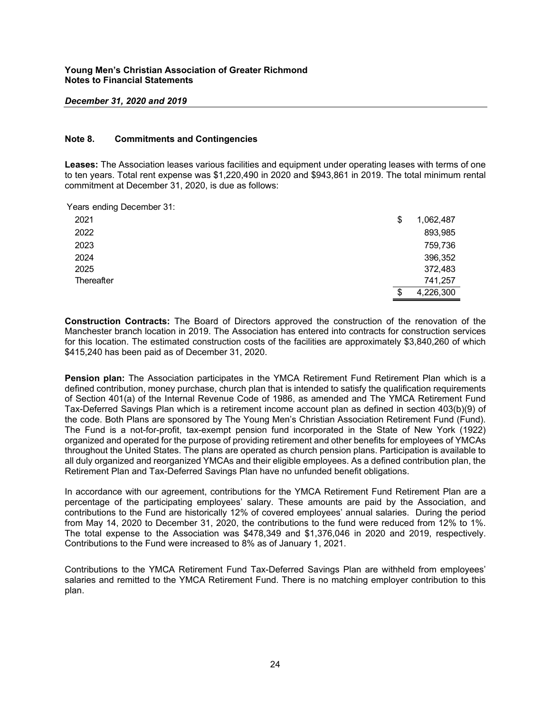#### **Young Men's Christian Association of Greater Richmond Notes to Financial Statements**

#### *December 31, 2020 and 2019*

#### **Note 8. Commitments and Contingencies**

**Leases:** The Association leases various facilities and equipment under operating leases with terms of one to ten years. Total rent expense was \$1,220,490 in 2020 and \$943,861 in 2019. The total minimum rental commitment at December 31, 2020, is due as follows:

Years ending December 31:

| 2021       | \$<br>1,062,487 |
|------------|-----------------|
| 2022       | 893,985         |
| 2023       | 759,736         |
| 2024       | 396,352         |
| 2025       | 372,483         |
| Thereafter | 741,257         |
|            | \$<br>4,226,300 |

**Construction Contracts:** The Board of Directors approved the construction of the renovation of the Manchester branch location in 2019. The Association has entered into contracts for construction services for this location. The estimated construction costs of the facilities are approximately \$3,840,260 of which \$415,240 has been paid as of December 31, 2020.

**Pension plan:** The Association participates in the YMCA Retirement Fund Retirement Plan which is a defined contribution, money purchase, church plan that is intended to satisfy the qualification requirements of Section 401(a) of the Internal Revenue Code of 1986, as amended and The YMCA Retirement Fund Tax-Deferred Savings Plan which is a retirement income account plan as defined in section 403(b)(9) of the code. Both Plans are sponsored by The Young Men's Christian Association Retirement Fund (Fund). The Fund is a not-for-profit, tax-exempt pension fund incorporated in the State of New York (1922) organized and operated for the purpose of providing retirement and other benefits for employees of YMCAs throughout the United States. The plans are operated as church pension plans. Participation is available to all duly organized and reorganized YMCAs and their eligible employees. As a defined contribution plan, the Retirement Plan and Tax-Deferred Savings Plan have no unfunded benefit obligations.

In accordance with our agreement, contributions for the YMCA Retirement Fund Retirement Plan are a percentage of the participating employees' salary. These amounts are paid by the Association, and contributions to the Fund are historically 12% of covered employees' annual salaries. During the period from May 14, 2020 to December 31, 2020, the contributions to the fund were reduced from 12% to 1%. The total expense to the Association was \$478,349 and \$1,376,046 in 2020 and 2019, respectively. Contributions to the Fund were increased to 8% as of January 1, 2021.

Contributions to the YMCA Retirement Fund Tax-Deferred Savings Plan are withheld from employees' salaries and remitted to the YMCA Retirement Fund. There is no matching employer contribution to this plan.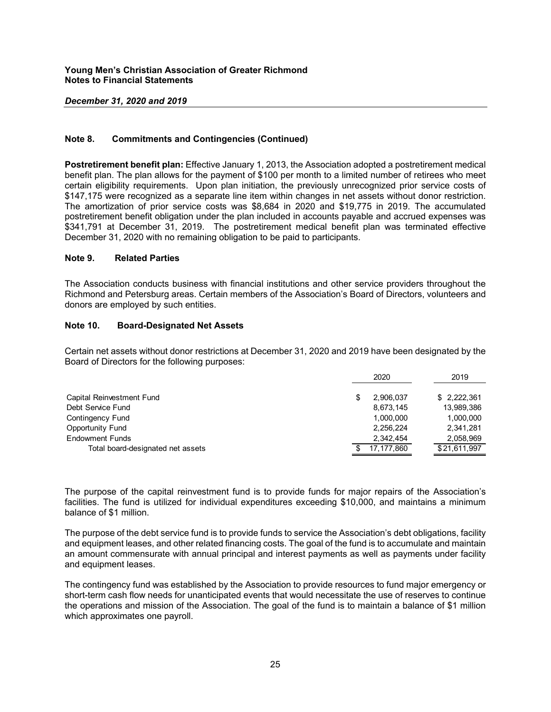#### **Note 8. Commitments and Contingencies (Continued)**

**Postretirement benefit plan:** Effective January 1, 2013, the Association adopted a postretirement medical benefit plan. The plan allows for the payment of \$100 per month to a limited number of retirees who meet certain eligibility requirements. Upon plan initiation, the previously unrecognized prior service costs of \$147,175 were recognized as a separate line item within changes in net assets without donor restriction. The amortization of prior service costs was \$8,684 in 2020 and \$19,775 in 2019. The accumulated postretirement benefit obligation under the plan included in accounts payable and accrued expenses was \$341,791 at December 31, 2019. The postretirement medical benefit plan was terminated effective December 31, 2020 with no remaining obligation to be paid to participants.

#### **Note 9. Related Parties**

The Association conducts business with financial institutions and other service providers throughout the Richmond and Petersburg areas. Certain members of the Association's Board of Directors, volunteers and donors are employed by such entities.

#### **Note 10. Board-Designated Net Assets**

Certain net assets without donor restrictions at December 31, 2020 and 2019 have been designated by the Board of Directors for the following purposes:

|                                   |   | 2020       |              |
|-----------------------------------|---|------------|--------------|
| Capital Reinvestment Fund         | S | 2.906.037  | \$2.222.361  |
| Debt Service Fund                 |   | 8.673.145  | 13,989,386   |
| Contingency Fund                  |   | 1.000.000  | 1.000.000    |
| Opportunity Fund                  |   | 2.256.224  | 2,341,281    |
| <b>Endowment Funds</b>            |   | 2,342,454  | 2,058,969    |
| Total board-designated net assets |   | 17.177.860 | \$21,611,997 |

The purpose of the capital reinvestment fund is to provide funds for major repairs of the Association's facilities. The fund is utilized for individual expenditures exceeding \$10,000, and maintains a minimum balance of \$1 million.

The purpose of the debt service fund is to provide funds to service the Association's debt obligations, facility and equipment leases, and other related financing costs. The goal of the fund is to accumulate and maintain an amount commensurate with annual principal and interest payments as well as payments under facility and equipment leases.

The contingency fund was established by the Association to provide resources to fund major emergency or short-term cash flow needs for unanticipated events that would necessitate the use of reserves to continue the operations and mission of the Association. The goal of the fund is to maintain a balance of \$1 million which approximates one payroll.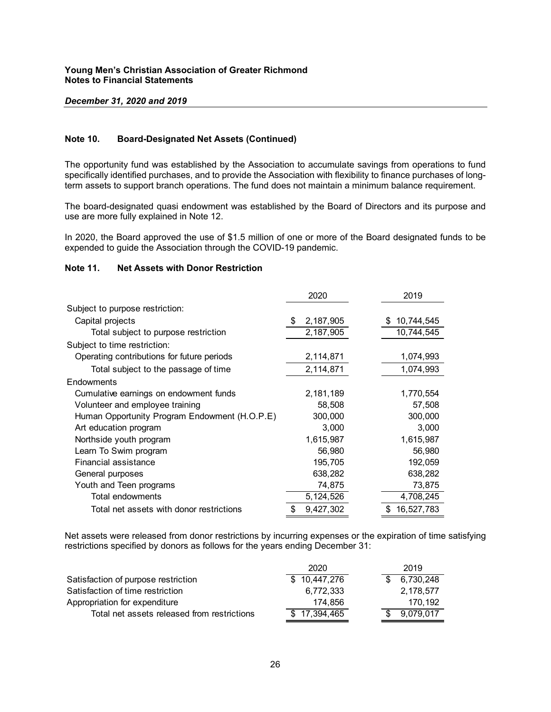#### **Young Men's Christian Association of Greater Richmond Notes to Financial Statements**

#### *December 31, 2020 and 2019*

#### **Note 10. Board-Designated Net Assets (Continued)**

The opportunity fund was established by the Association to accumulate savings from operations to fund specifically identified purchases, and to provide the Association with flexibility to finance purchases of longterm assets to support branch operations. The fund does not maintain a minimum balance requirement.

The board-designated quasi endowment was established by the Board of Directors and its purpose and use are more fully explained in Note 12.

In 2020, the Board approved the use of \$1.5 million of one or more of the Board designated funds to be expended to guide the Association through the COVID-19 pandemic.

#### **Note 11. Net Assets with Donor Restriction**

|                                               | 2020            | 2019             |
|-----------------------------------------------|-----------------|------------------|
| Subject to purpose restriction:               |                 |                  |
| Capital projects                              | 2,187,905<br>\$ | 10,744,545       |
| Total subject to purpose restriction          | 2,187,905       | 10,744,545       |
| Subject to time restriction:                  |                 |                  |
| Operating contributions for future periods    | 2,114,871       | 1,074,993        |
| Total subject to the passage of time          | 2,114,871       | 1,074,993        |
| Endowments                                    |                 |                  |
| Cumulative earnings on endowment funds        | 2,181,189       | 1,770,554        |
| Volunteer and employee training               | 58,508          | 57,508           |
| Human Opportunity Program Endowment (H.O.P.E) | 300,000         | 300,000          |
| Art education program                         | 3,000           | 3,000            |
| Northside youth program                       | 1,615,987       | 1,615,987        |
| Learn To Swim program                         | 56,980          | 56,980           |
| Financial assistance                          | 195,705         | 192,059          |
| General purposes                              | 638,282         | 638,282          |
| Youth and Teen programs                       | 74,875          | 73,875           |
| Total endowments                              | 5,124,526       | 4,708,245        |
| Total net assets with donor restrictions      | 9,427,302<br>S  | 16,527,783<br>S. |

Net assets were released from donor restrictions by incurring expenses or the expiration of time satisfying restrictions specified by donors as follows for the years ending December 31:

|                                             | 2020         |  | 2019        |
|---------------------------------------------|--------------|--|-------------|
| Satisfaction of purpose restriction         | \$10,447,276 |  | \$6.730.248 |
| Satisfaction of time restriction            | 6.772.333    |  | 2.178.577   |
| Appropriation for expenditure               | 174.856      |  | 170.192     |
| Total net assets released from restrictions | \$17.394.465 |  | 9.079.017   |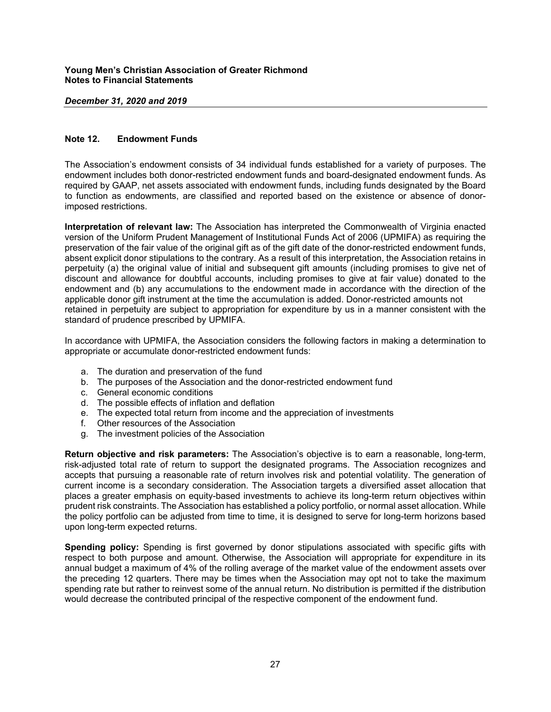## **Note 12. Endowment Funds**

The Association's endowment consists of 34 individual funds established for a variety of purposes. The endowment includes both donor-restricted endowment funds and board-designated endowment funds. As required by GAAP, net assets associated with endowment funds, including funds designated by the Board to function as endowments, are classified and reported based on the existence or absence of donorimposed restrictions.

**Interpretation of relevant law:** The Association has interpreted the Commonwealth of Virginia enacted version of the Uniform Prudent Management of Institutional Funds Act of 2006 (UPMIFA) as requiring the preservation of the fair value of the original gift as of the gift date of the donor-restricted endowment funds, absent explicit donor stipulations to the contrary. As a result of this interpretation, the Association retains in perpetuity (a) the original value of initial and subsequent gift amounts (including promises to give net of discount and allowance for doubtful accounts, including promises to give at fair value) donated to the endowment and (b) any accumulations to the endowment made in accordance with the direction of the applicable donor gift instrument at the time the accumulation is added. Donor-restricted amounts not retained in perpetuity are subject to appropriation for expenditure by us in a manner consistent with the standard of prudence prescribed by UPMIFA.

In accordance with UPMIFA, the Association considers the following factors in making a determination to appropriate or accumulate donor-restricted endowment funds:

- a. The duration and preservation of the fund
- b. The purposes of the Association and the donor-restricted endowment fund
- c. General economic conditions
- d. The possible effects of inflation and deflation
- e. The expected total return from income and the appreciation of investments
- f. Other resources of the Association
- g. The investment policies of the Association

**Return objective and risk parameters:** The Association's objective is to earn a reasonable, long-term, risk-adjusted total rate of return to support the designated programs. The Association recognizes and accepts that pursuing a reasonable rate of return involves risk and potential volatility. The generation of current income is a secondary consideration. The Association targets a diversified asset allocation that places a greater emphasis on equity-based investments to achieve its long-term return objectives within prudent risk constraints. The Association has established a policy portfolio, or normal asset allocation. While the policy portfolio can be adjusted from time to time, it is designed to serve for long-term horizons based upon long-term expected returns.

**Spending policy:** Spending is first governed by donor stipulations associated with specific gifts with respect to both purpose and amount. Otherwise, the Association will appropriate for expenditure in its annual budget a maximum of 4% of the rolling average of the market value of the endowment assets over the preceding 12 quarters. There may be times when the Association may opt not to take the maximum spending rate but rather to reinvest some of the annual return. No distribution is permitted if the distribution would decrease the contributed principal of the respective component of the endowment fund.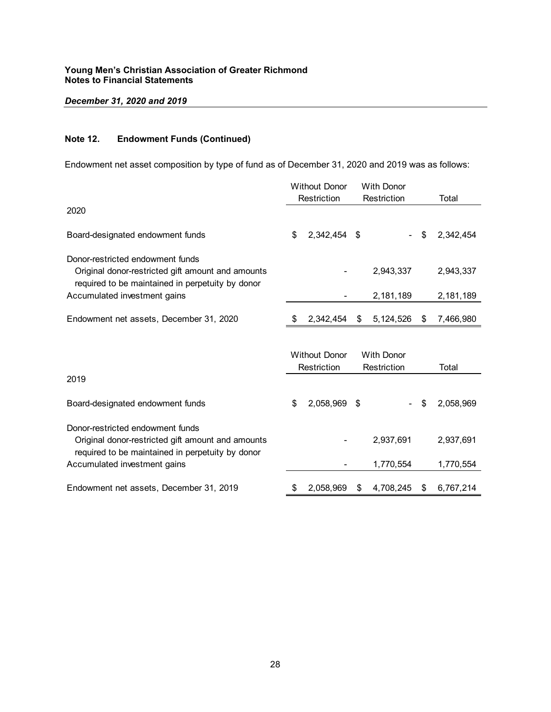## **Note 12. Endowment Funds (Continued)**

Endowment net asset composition by type of fund as of December 31, 2020 and 2019 was as follows:

|                                                                                                       | <b>Without Donor</b> |                      | <b>With Donor</b> |                   |    |           |
|-------------------------------------------------------------------------------------------------------|----------------------|----------------------|-------------------|-------------------|----|-----------|
|                                                                                                       |                      | Restriction          | Restriction       |                   |    | Total     |
| 2020                                                                                                  |                      |                      |                   |                   |    |           |
| Board-designated endowment funds                                                                      | \$                   | 2,342,454 \$         |                   |                   | \$ | 2,342,454 |
| Donor-restricted endowment funds<br>Original donor-restricted gift amount and amounts                 |                      |                      |                   | 2,943,337         |    | 2,943,337 |
| required to be maintained in perpetuity by donor                                                      |                      |                      |                   |                   |    |           |
| Accumulated investment gains                                                                          |                      |                      |                   | 2,181,189         |    | 2,181,189 |
| Endowment net assets, December 31, 2020                                                               |                      | 2,342,454            | \$                | 5,124,526         | \$ | 7,466,980 |
|                                                                                                       |                      |                      |                   |                   |    |           |
|                                                                                                       |                      | <b>Without Donor</b> |                   | <b>With Donor</b> |    |           |
|                                                                                                       |                      | Restriction          |                   | Restriction       |    | Total     |
| 2019                                                                                                  |                      |                      |                   |                   |    |           |
| Board-designated endowment funds                                                                      | \$                   | 2,058,969            | \$                |                   | \$ | 2,058,969 |
| Donor-restricted endowment funds                                                                      |                      |                      |                   |                   |    |           |
| Original donor-restricted gift amount and amounts<br>required to be maintained in perpetuity by donor |                      |                      |                   | 2,937,691         |    | 2,937,691 |
| Accumulated investment gains                                                                          |                      |                      |                   | 1,770,554         |    | 1,770,554 |
|                                                                                                       |                      |                      |                   |                   |    |           |
| Endowment net assets, December 31, 2019                                                               | \$                   | 2,058,969            | \$                | 4,708,245         | S  | 6,767,214 |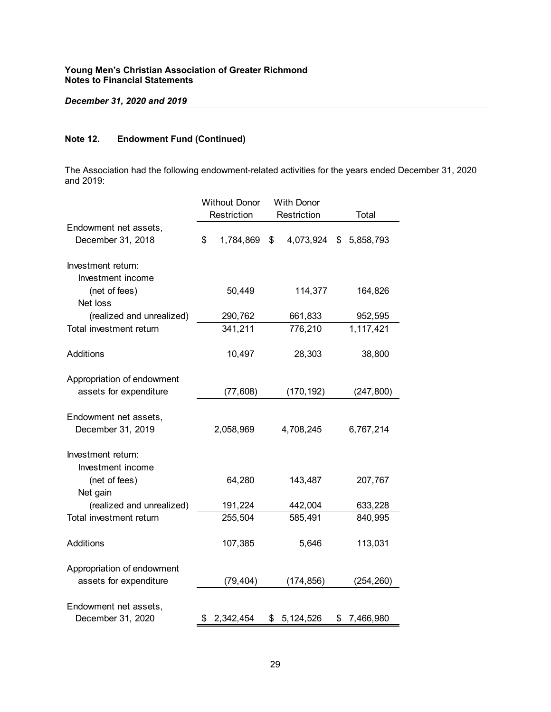## **Note 12. Endowment Fund (Continued)**

The Association had the following endowment-related activities for the years ended December 31, 2020 and 2019:

|                            | <b>Without Donor</b> | <b>With Donor</b> |                 |
|----------------------------|----------------------|-------------------|-----------------|
|                            | Restriction          | Restriction       | Total           |
| Endowment net assets,      |                      |                   |                 |
| December 31, 2018          | \$<br>1,784,869      | \$<br>4,073,924   | \$<br>5,858,793 |
| Investment return:         |                      |                   |                 |
| Investment income          |                      |                   |                 |
| (net of fees)              | 50,449               | 114,377           | 164,826         |
| Net loss                   |                      |                   |                 |
| (realized and unrealized)  | 290,762              | 661,833           | 952,595         |
| Total investment return    | 341,211              | 776,210           | 1,117,421       |
|                            |                      |                   |                 |
| Additions                  | 10,497               | 28,303            | 38,800          |
| Appropriation of endowment |                      |                   |                 |
| assets for expenditure     | (77, 608)            | (170, 192)        | (247, 800)      |
|                            |                      |                   |                 |
| Endowment net assets,      |                      |                   |                 |
| December 31, 2019          | 2,058,969            | 4,708,245         | 6,767,214       |
|                            |                      |                   |                 |
| Investment return:         |                      |                   |                 |
| Investment income          |                      |                   |                 |
| (net of fees)              | 64,280               | 143,487           | 207,767         |
| Net gain                   |                      |                   |                 |
| (realized and unrealized)  | 191,224              | 442,004           | 633,228         |
| Total investment return    | 255,504              | 585,491           | 840,995         |
| Additions                  | 107,385              | 5,646             | 113,031         |
|                            |                      |                   |                 |
| Appropriation of endowment |                      |                   |                 |
| assets for expenditure     | (79, 404)            | (174, 856)        | (254, 260)      |
|                            |                      |                   |                 |
| Endowment net assets,      |                      |                   |                 |
| December 31, 2020          | \$<br>2,342,454      | \$<br>5,124,526   | \$<br>7,466,980 |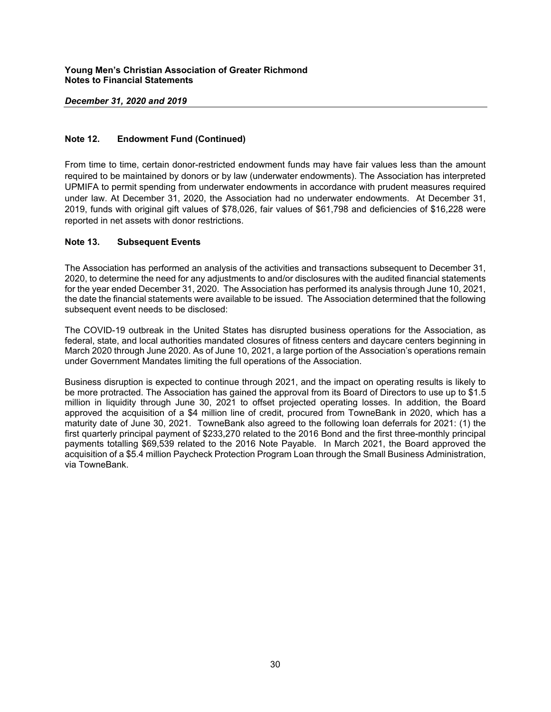#### **Note 12. Endowment Fund (Continued)**

From time to time, certain donor-restricted endowment funds may have fair values less than the amount required to be maintained by donors or by law (underwater endowments). The Association has interpreted UPMIFA to permit spending from underwater endowments in accordance with prudent measures required under law. At December 31, 2020, the Association had no underwater endowments. At December 31, 2019, funds with original gift values of \$78,026, fair values of \$61,798 and deficiencies of \$16,228 were reported in net assets with donor restrictions.

#### **Note 13. Subsequent Events**

The Association has performed an analysis of the activities and transactions subsequent to December 31, 2020, to determine the need for any adjustments to and/or disclosures with the audited financial statements for the year ended December 31, 2020. The Association has performed its analysis through June 10, 2021, the date the financial statements were available to be issued. The Association determined that the following subsequent event needs to be disclosed:

The COVID-19 outbreak in the United States has disrupted business operations for the Association, as federal, state, and local authorities mandated closures of fitness centers and daycare centers beginning in March 2020 through June 2020. As of June 10, 2021, a large portion of the Association's operations remain under Government Mandates limiting the full operations of the Association.

Business disruption is expected to continue through 2021, and the impact on operating results is likely to be more protracted. The Association has gained the approval from its Board of Directors to use up to \$1.5 million in liquidity through June 30, 2021 to offset projected operating losses. In addition, the Board approved the acquisition of a \$4 million line of credit, procured from TowneBank in 2020, which has a maturity date of June 30, 2021. TowneBank also agreed to the following loan deferrals for 2021: (1) the first quarterly principal payment of \$233,270 related to the 2016 Bond and the first three-monthly principal payments totalling \$69,539 related to the 2016 Note Payable. In March 2021, the Board approved the acquisition of a \$5.4 million Paycheck Protection Program Loan through the Small Business Administration, via TowneBank.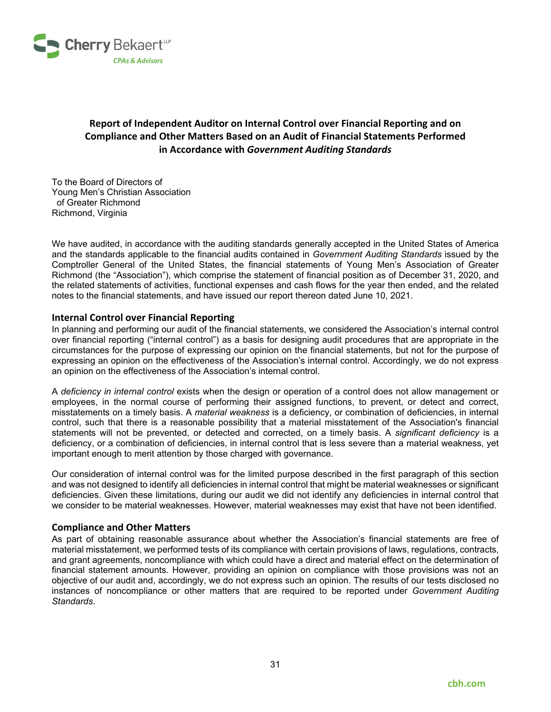

## **Report of Independent Auditor on Internal Control over Financial Reporting and on Compliance and Other Matters Based on an Audit of Financial Statements Performed in Accordance with** *Government Auditing Standards*

To the Board of Directors of Young Men's Christian Association of Greater Richmond Richmond, Virginia

We have audited, in accordance with the auditing standards generally accepted in the United States of America and the standards applicable to the financial audits contained in *Government Auditing Standards* issued by the Comptroller General of the United States, the financial statements of Young Men's Association of Greater Richmond (the "Association"), which comprise the statement of financial position as of December 31, 2020, and the related statements of activities, functional expenses and cash flows for the year then ended, and the related notes to the financial statements, and have issued our report thereon dated June 10, 2021.

## **Internal Control over Financial Reporting**

In planning and performing our audit of the financial statements, we considered the Association's internal control over financial reporting ("internal control") as a basis for designing audit procedures that are appropriate in the circumstances for the purpose of expressing our opinion on the financial statements, but not for the purpose of expressing an opinion on the effectiveness of the Association's internal control. Accordingly, we do not express an opinion on the effectiveness of the Association's internal control.

A *deficiency in internal control* exists when the design or operation of a control does not allow management or employees, in the normal course of performing their assigned functions, to prevent, or detect and correct, misstatements on a timely basis. A *material weakness* is a deficiency, or combination of deficiencies, in internal control, such that there is a reasonable possibility that a material misstatement of the Association's financial statements will not be prevented, or detected and corrected, on a timely basis. A *significant deficiency* is a deficiency, or a combination of deficiencies, in internal control that is less severe than a material weakness, yet important enough to merit attention by those charged with governance.

Our consideration of internal control was for the limited purpose described in the first paragraph of this section and was not designed to identify all deficiencies in internal control that might be material weaknesses or significant deficiencies. Given these limitations, during our audit we did not identify any deficiencies in internal control that we consider to be material weaknesses. However, material weaknesses may exist that have not been identified.

## **Compliance and Other Matters**

As part of obtaining reasonable assurance about whether the Association's financial statements are free of material misstatement, we performed tests of its compliance with certain provisions of laws, regulations, contracts, and grant agreements, noncompliance with which could have a direct and material effect on the determination of financial statement amounts. However, providing an opinion on compliance with those provisions was not an objective of our audit and, accordingly, we do not express such an opinion. The results of our tests disclosed no instances of noncompliance or other matters that are required to be reported under *Government Auditing Standards*.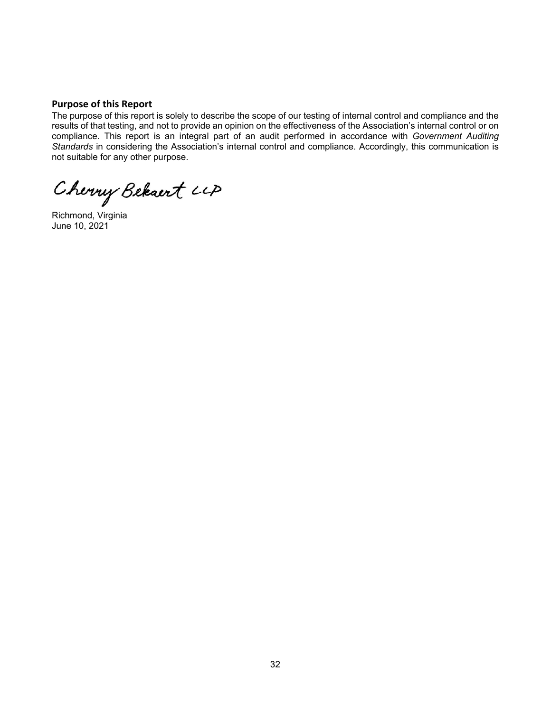## **Purpose of this Report**

The purpose of this report is solely to describe the scope of our testing of internal control and compliance and the results of that testing, and not to provide an opinion on the effectiveness of the Association's internal control or on compliance. This report is an integral part of an audit performed in accordance with *Government Auditing Standards* in considering the Association's internal control and compliance. Accordingly, this communication is not suitable for any other purpose.

Cherry Bekaert LLP

Richmond, Virginia June 10, 2021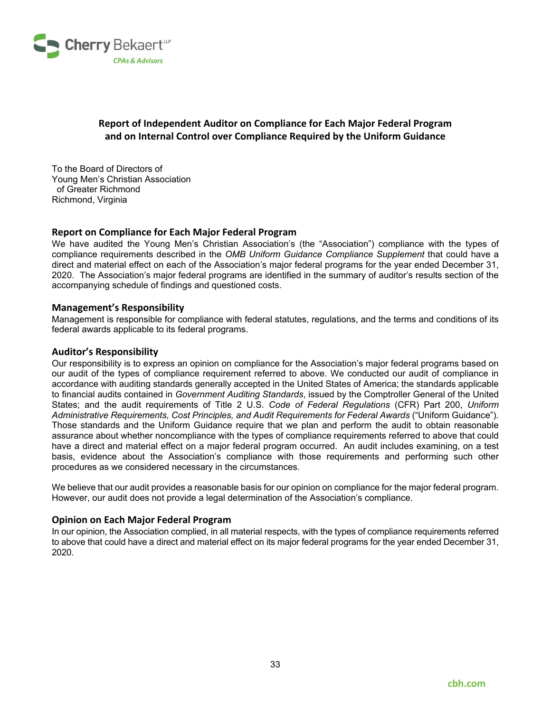

## **Report of Independent Auditor on Compliance for Each Major Federal Program and on Internal Control over Compliance Required by the Uniform Guidance**

To the Board of Directors of Young Men's Christian Association of Greater Richmond Richmond, Virginia

## **Report on Compliance for Each Major Federal Program**

We have audited the Young Men's Christian Association's (the "Association") compliance with the types of compliance requirements described in the *OMB Uniform Guidance Compliance Supplement* that could have a direct and material effect on each of the Association's major federal programs for the year ended December 31, 2020. The Association's major federal programs are identified in the summary of auditor's results section of the accompanying schedule of findings and questioned costs.

## **Management's Responsibility**

Management is responsible for compliance with federal statutes, regulations, and the terms and conditions of its federal awards applicable to its federal programs.

#### **Auditor's Responsibility**

Our responsibility is to express an opinion on compliance for the Association's major federal programs based on our audit of the types of compliance requirement referred to above. We conducted our audit of compliance in accordance with auditing standards generally accepted in the United States of America; the standards applicable to financial audits contained in *Government Auditing Standards*, issued by the Comptroller General of the United States; and the audit requirements of Title 2 U.S. *Code of Federal Regulations* (CFR) Part 200, *Uniform Administrative Requirements, Cost Principles, and Audit Requirements for Federal Awards* ("Uniform Guidance"). Those standards and the Uniform Guidance require that we plan and perform the audit to obtain reasonable assurance about whether noncompliance with the types of compliance requirements referred to above that could have a direct and material effect on a major federal program occurred. An audit includes examining, on a test basis, evidence about the Association's compliance with those requirements and performing such other procedures as we considered necessary in the circumstances.

We believe that our audit provides a reasonable basis for our opinion on compliance for the major federal program. However, our audit does not provide a legal determination of the Association's compliance.

#### **Opinion on Each Major Federal Program**

In our opinion, the Association complied, in all material respects, with the types of compliance requirements referred to above that could have a direct and material effect on its major federal programs for the year ended December 31, 2020.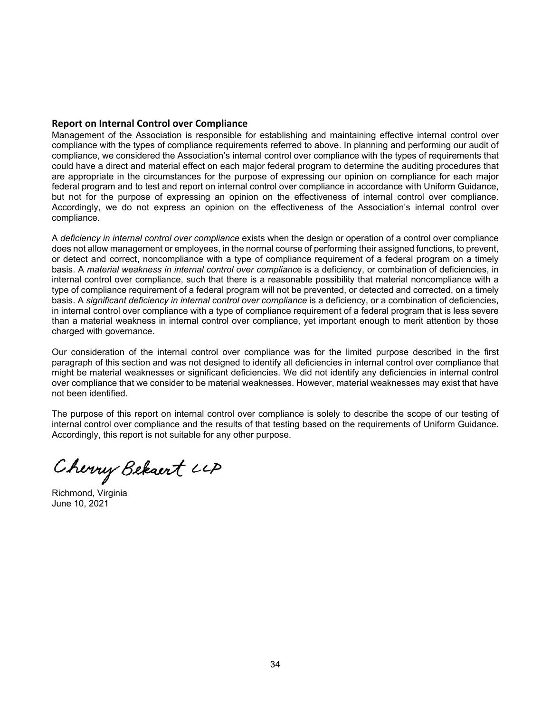## **Report on Internal Control over Compliance**

Management of the Association is responsible for establishing and maintaining effective internal control over compliance with the types of compliance requirements referred to above. In planning and performing our audit of compliance, we considered the Association's internal control over compliance with the types of requirements that could have a direct and material effect on each major federal program to determine the auditing procedures that are appropriate in the circumstances for the purpose of expressing our opinion on compliance for each major federal program and to test and report on internal control over compliance in accordance with Uniform Guidance, but not for the purpose of expressing an opinion on the effectiveness of internal control over compliance. Accordingly, we do not express an opinion on the effectiveness of the Association's internal control over compliance.

A *deficiency in internal control over compliance* exists when the design or operation of a control over compliance does not allow management or employees, in the normal course of performing their assigned functions, to prevent, or detect and correct, noncompliance with a type of compliance requirement of a federal program on a timely basis. A *material weakness in internal control over complianc*e is a deficiency, or combination of deficiencies, in internal control over compliance, such that there is a reasonable possibility that material noncompliance with a type of compliance requirement of a federal program will not be prevented, or detected and corrected, on a timely basis. A *significant deficiency in internal control over compliance* is a deficiency, or a combination of deficiencies, in internal control over compliance with a type of compliance requirement of a federal program that is less severe than a material weakness in internal control over compliance, yet important enough to merit attention by those charged with governance.

Our consideration of the internal control over compliance was for the limited purpose described in the first paragraph of this section and was not designed to identify all deficiencies in internal control over compliance that might be material weaknesses or significant deficiencies. We did not identify any deficiencies in internal control over compliance that we consider to be material weaknesses. However, material weaknesses may exist that have not been identified.

The purpose of this report on internal control over compliance is solely to describe the scope of our testing of internal control over compliance and the results of that testing based on the requirements of Uniform Guidance. Accordingly, this report is not suitable for any other purpose.

Cherry Bekaert LLP

Richmond, Virginia June 10, 2021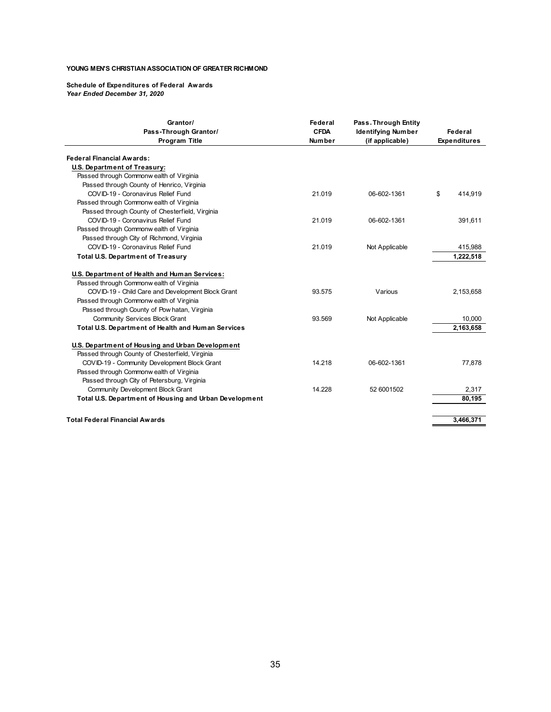#### **YOUNG MEN'S CHRISTIAN ASSOCIATION OF GREATER RICHMOND**

**Schedule of Expenditures of Federal Awards** *Year Ended December 31, 2020*

| Grantor/<br>Pass-Through Grantor/<br><b>Program Title</b> | Federal<br><b>CFDA</b><br>Number | Pass-Through Entity<br><b>Identifying Number</b><br>(if applicable) |    | Federal<br><b>Expenditures</b> |  |
|-----------------------------------------------------------|----------------------------------|---------------------------------------------------------------------|----|--------------------------------|--|
| <b>Federal Financial Awards:</b>                          |                                  |                                                                     |    |                                |  |
| U.S. Department of Treasury:                              |                                  |                                                                     |    |                                |  |
| Passed through Commonw ealth of Virginia                  |                                  |                                                                     |    |                                |  |
| Passed through County of Henrico, Virginia                |                                  |                                                                     |    |                                |  |
| COVID-19 - Coronavirus Relief Fund                        | 21.019                           | 06-602-1361                                                         | \$ | 414,919                        |  |
| Passed through Commonw ealth of Virginia                  |                                  |                                                                     |    |                                |  |
| Passed through County of Chesterfield, Virginia           |                                  |                                                                     |    |                                |  |
| COVID-19 - Coronavirus Relief Fund                        | 21.019                           | 06-602-1361                                                         |    | 391,611                        |  |
| Passed through Commonw ealth of Virginia                  |                                  |                                                                     |    |                                |  |
| Passed through City of Richmond, Virginia                 |                                  |                                                                     |    |                                |  |
| COVID-19 - Coronavirus Relief Fund                        | 21.019                           | Not Applicable                                                      |    | 415,988                        |  |
| <b>Total U.S. Department of Treasury</b>                  |                                  |                                                                     |    | 1,222,518                      |  |
| U.S. Department of Health and Human Services:             |                                  |                                                                     |    |                                |  |
| Passed through Commonw ealth of Virginia                  |                                  |                                                                     |    |                                |  |
| COVID-19 - Child Care and Development Block Grant         | 93.575                           | Various                                                             |    | 2,153,658                      |  |
| Passed through Commonw ealth of Virginia                  |                                  |                                                                     |    |                                |  |
| Passed through County of Pow hatan, Virginia              |                                  |                                                                     |    |                                |  |
| <b>Community Services Block Grant</b>                     | 93.569                           | Not Applicable                                                      |    | 10,000                         |  |
| Total U.S. Department of Health and Human Services        |                                  |                                                                     |    | 2,163,658                      |  |
| U.S. Department of Housing and Urban Development          |                                  |                                                                     |    |                                |  |
| Passed through County of Chesterfield, Virginia           |                                  |                                                                     |    |                                |  |
| COVID-19 - Community Development Block Grant              | 14.218                           | 06-602-1361                                                         |    | 77,878                         |  |
| Passed through Commonw ealth of Virginia                  |                                  |                                                                     |    |                                |  |
| Passed through City of Petersburg, Virginia               |                                  |                                                                     |    |                                |  |
| Community Development Block Grant                         | 14.228                           | 52 6001502                                                          |    | 2,317                          |  |
| Total U.S. Department of Housing and Urban Development    |                                  |                                                                     |    | 80,195                         |  |
| <b>Total Federal Financial Awards</b>                     |                                  |                                                                     |    | 3,466,371                      |  |
|                                                           |                                  |                                                                     |    |                                |  |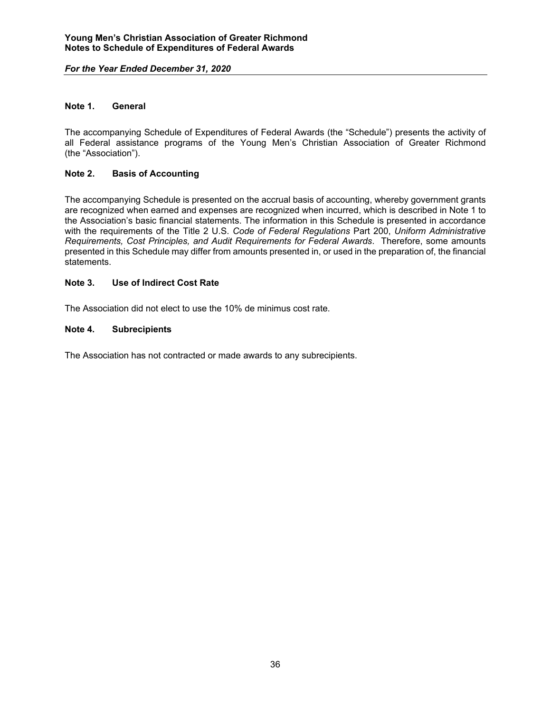#### *For the Year Ended December 31, 2020*

#### **Note 1. General**

The accompanying Schedule of Expenditures of Federal Awards (the "Schedule") presents the activity of all Federal assistance programs of the Young Men's Christian Association of Greater Richmond (the "Association").

#### **Note 2. Basis of Accounting**

The accompanying Schedule is presented on the accrual basis of accounting, whereby government grants are recognized when earned and expenses are recognized when incurred, which is described in Note 1 to the Association's basic financial statements. The information in this Schedule is presented in accordance with the requirements of the Title 2 U.S. *Code of Federal Regulations* Part 200, *Uniform Administrative Requirements, Cost Principles, and Audit Requirements for Federal Awards*. Therefore, some amounts presented in this Schedule may differ from amounts presented in, or used in the preparation of, the financial statements.

#### **Note 3. Use of Indirect Cost Rate**

The Association did not elect to use the 10% de minimus cost rate.

#### **Note 4. Subrecipients**

The Association has not contracted or made awards to any subrecipients.